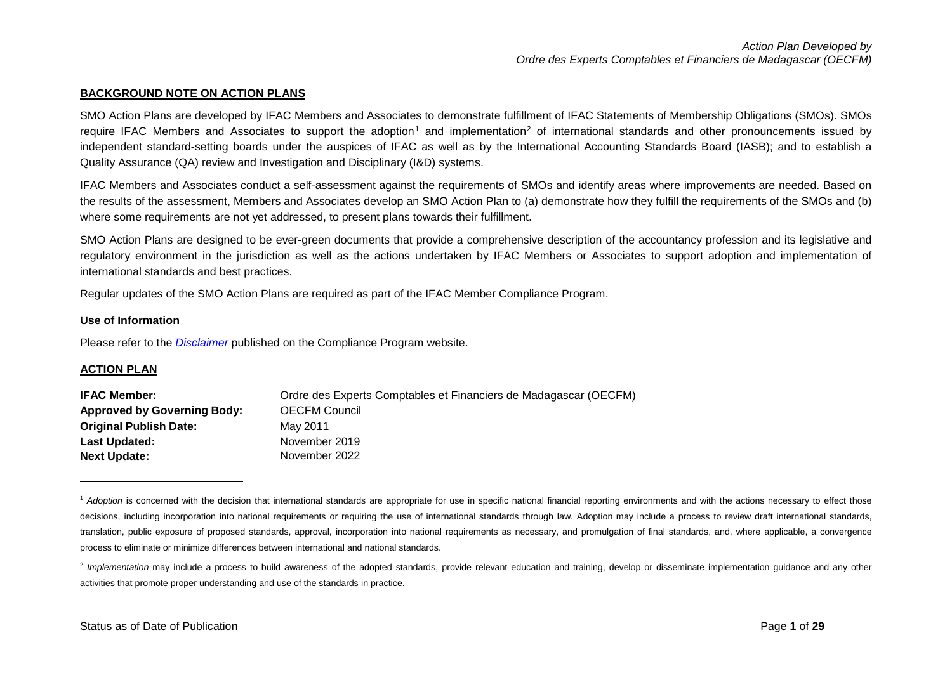#### <span id="page-0-1"></span><span id="page-0-0"></span>**BACKGROUND NOTE ON ACTION PLANS**

SMO Action Plans are developed by IFAC Members and Associates to demonstrate fulfillment of IFAC Statements of Membership Obligations (SMOs). SMOs require IFAC Members and Associates to support the adoption<sup>[1](#page-0-0)</sup> and implementation<sup>[2](#page-0-1)</sup> of international standards and other pronouncements issued by independent standard-setting boards under the auspices of IFAC as well as by the International Accounting Standards Board (IASB); and to establish a Quality Assurance (QA) review and Investigation and Disciplinary (I&D) systems.

IFAC Members and Associates conduct a self-assessment against the requirements of SMOs and identify areas where improvements are needed. Based on the results of the assessment, Members and Associates develop an SMO Action Plan to (a) demonstrate how they fulfill the requirements of the SMOs and (b) where some requirements are not yet addressed, to present plans towards their fulfillment.

SMO Action Plans are designed to be ever-green documents that provide a comprehensive description of the accountancy profession and its legislative and regulatory environment in the jurisdiction as well as the actions undertaken by IFAC Members or Associates to support adoption and implementation of international standards and best practices.

Regular updates of the SMO Action Plans are required as part of the IFAC Member Compliance Program.

#### **Use of Information**

Please refer to the *[Disclaimer](http://www.ifac.org/about-ifac/membership/members/disclaimer)* published on the Compliance Program website.

#### **ACTION PLAN**

 $\overline{a}$ 

| <b>IFAC Member:</b>                | Ordre des Experts Comptables et Financiers de Madagascar (OECFM) |
|------------------------------------|------------------------------------------------------------------|
| <b>Approved by Governing Body:</b> | <b>OECFM Council</b>                                             |
| <b>Original Publish Date:</b>      | May 2011                                                         |
| Last Updated:                      | November 2019                                                    |
| <b>Next Update:</b>                | November 2022                                                    |

<sup>&</sup>lt;sup>1</sup> Adoption is concerned with the decision that international standards are appropriate for use in specific national financial reporting environments and with the actions necessary to effect those decisions, including incorporation into national requirements or requiring the use of international standards through law. Adoption may include a process to review draft international standards, translation, public exposure of proposed standards, approval, incorporation into national requirements as necessary, and promulgation of final standards, and, where applicable, a convergence process to eliminate or minimize differences between international and national standards.

<sup>2</sup> Implementation may include a process to build awareness of the adopted standards, provide relevant education and training, develop or disseminate implementation guidance and any other activities that promote proper understanding and use of the standards in practice.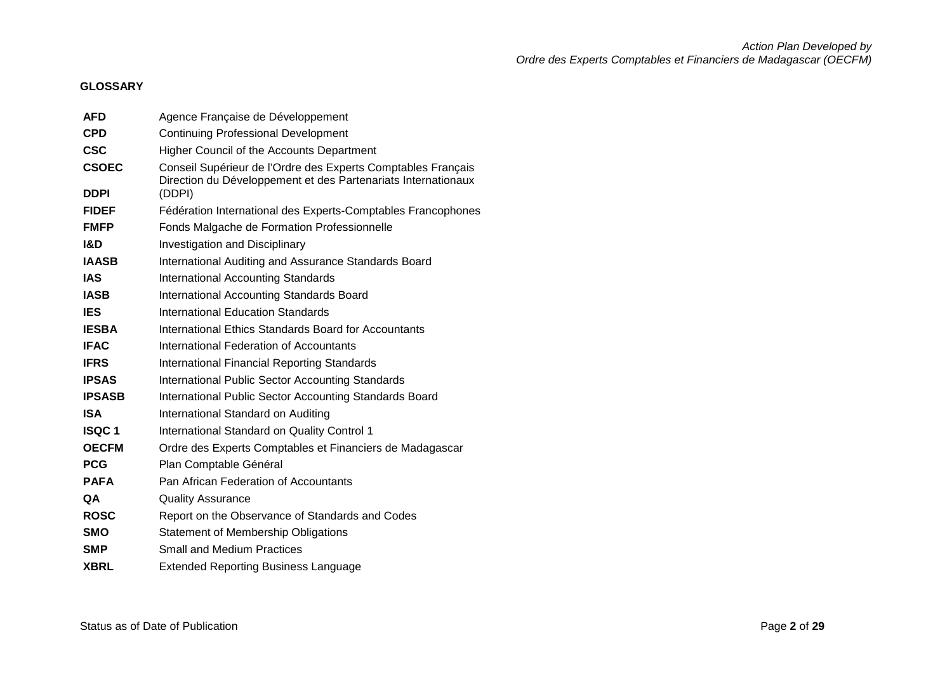# **GLOSSARY**

| <b>AFD</b>    | Agence Française de Développement                                                                                             |
|---------------|-------------------------------------------------------------------------------------------------------------------------------|
| <b>CPD</b>    | <b>Continuing Professional Development</b>                                                                                    |
| <b>CSC</b>    | Higher Council of the Accounts Department                                                                                     |
| <b>CSOEC</b>  | Conseil Supérieur de l'Ordre des Experts Comptables Français<br>Direction du Développement et des Partenariats Internationaux |
| <b>DDPI</b>   | (DDPI)                                                                                                                        |
| <b>FIDEF</b>  | Fédération International des Experts-Comptables Francophones                                                                  |
| <b>FMFP</b>   | Fonds Malgache de Formation Professionnelle                                                                                   |
| 1&D           | <b>Investigation and Disciplinary</b>                                                                                         |
| <b>IAASB</b>  | International Auditing and Assurance Standards Board                                                                          |
| <b>IAS</b>    | <b>International Accounting Standards</b>                                                                                     |
| <b>IASB</b>   | International Accounting Standards Board                                                                                      |
| <b>IES</b>    | International Education Standards                                                                                             |
| <b>IESBA</b>  | International Ethics Standards Board for Accountants                                                                          |
| <b>IFAC</b>   | International Federation of Accountants                                                                                       |
| <b>IFRS</b>   | <b>International Financial Reporting Standards</b>                                                                            |
| <b>IPSAS</b>  | <b>International Public Sector Accounting Standards</b>                                                                       |
| <b>IPSASB</b> | International Public Sector Accounting Standards Board                                                                        |
| <b>ISA</b>    | International Standard on Auditing                                                                                            |
| <b>ISQC1</b>  | International Standard on Quality Control 1                                                                                   |
| <b>OECFM</b>  | Ordre des Experts Comptables et Financiers de Madagascar                                                                      |
| <b>PCG</b>    | Plan Comptable Général                                                                                                        |
| <b>PAFA</b>   | Pan African Federation of Accountants                                                                                         |
| QA            | <b>Quality Assurance</b>                                                                                                      |
| <b>ROSC</b>   | Report on the Observance of Standards and Codes                                                                               |
| <b>SMO</b>    | <b>Statement of Membership Obligations</b>                                                                                    |
| <b>SMP</b>    | <b>Small and Medium Practices</b>                                                                                             |
| <b>XBRL</b>   | <b>Extended Reporting Business Language</b>                                                                                   |
|               |                                                                                                                               |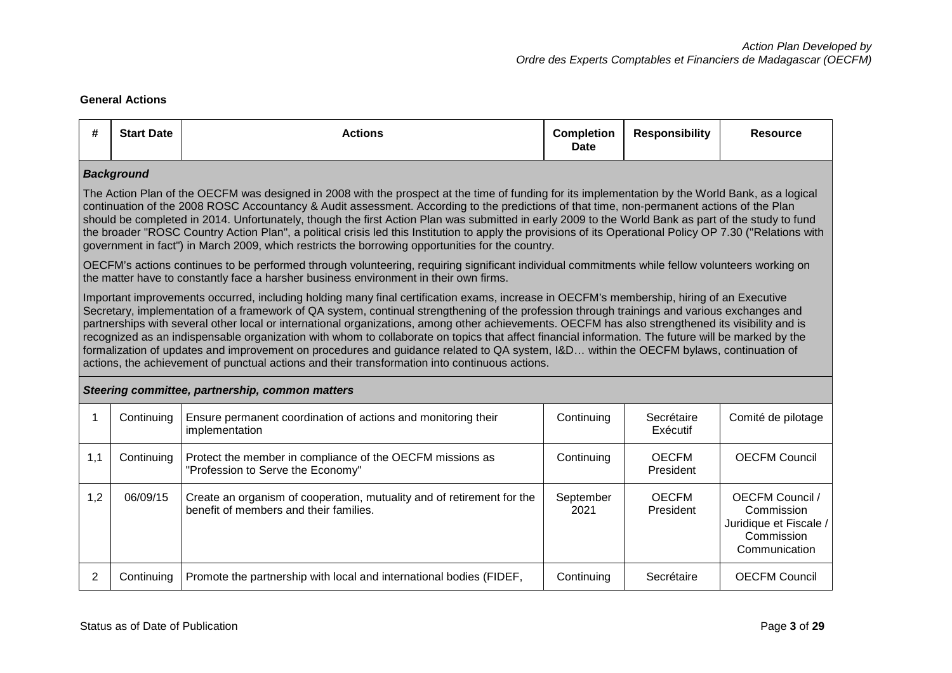## **General Actions**

| #              | <b>Start Date</b>                                                                                                                                                                                                                                                                                                                                                                                                                                                                                                                                                                                                                                                                                                                                                                                                                                | <b>Actions</b>                                                                                                                                                                                                                           | <b>Completion</b><br><b>Date</b> | <b>Responsibility</b>     | <b>Resource</b>                                                                        |  |  |  |  |  |
|----------------|--------------------------------------------------------------------------------------------------------------------------------------------------------------------------------------------------------------------------------------------------------------------------------------------------------------------------------------------------------------------------------------------------------------------------------------------------------------------------------------------------------------------------------------------------------------------------------------------------------------------------------------------------------------------------------------------------------------------------------------------------------------------------------------------------------------------------------------------------|------------------------------------------------------------------------------------------------------------------------------------------------------------------------------------------------------------------------------------------|----------------------------------|---------------------------|----------------------------------------------------------------------------------------|--|--|--|--|--|
|                | <b>Background</b>                                                                                                                                                                                                                                                                                                                                                                                                                                                                                                                                                                                                                                                                                                                                                                                                                                |                                                                                                                                                                                                                                          |                                  |                           |                                                                                        |  |  |  |  |  |
|                | The Action Plan of the OECFM was designed in 2008 with the prospect at the time of funding for its implementation by the World Bank, as a logical<br>continuation of the 2008 ROSC Accountancy & Audit assessment. According to the predictions of that time, non-permanent actions of the Plan<br>should be completed in 2014. Unfortunately, though the first Action Plan was submitted in early 2009 to the World Bank as part of the study to fund<br>the broader "ROSC Country Action Plan", a political crisis led this Institution to apply the provisions of its Operational Policy OP 7.30 ("Relations with<br>government in fact") in March 2009, which restricts the borrowing opportunities for the country.                                                                                                                         |                                                                                                                                                                                                                                          |                                  |                           |                                                                                        |  |  |  |  |  |
|                |                                                                                                                                                                                                                                                                                                                                                                                                                                                                                                                                                                                                                                                                                                                                                                                                                                                  | OECFM's actions continues to be performed through volunteering, requiring significant individual commitments while fellow volunteers working on<br>the matter have to constantly face a harsher business environment in their own firms. |                                  |                           |                                                                                        |  |  |  |  |  |
|                | Important improvements occurred, including holding many final certification exams, increase in OECFM's membership, hiring of an Executive<br>Secretary, implementation of a framework of QA system, continual strengthening of the profession through trainings and various exchanges and<br>partnerships with several other local or international organizations, among other achievements. OECFM has also strengthened its visibility and is<br>recognized as an indispensable organization with whom to collaborate on topics that affect financial information. The future will be marked by the<br>formalization of updates and improvement on procedures and guidance related to QA system, I&D within the OECFM bylaws, continuation of<br>actions, the achievement of punctual actions and their transformation into continuous actions. |                                                                                                                                                                                                                                          |                                  |                           |                                                                                        |  |  |  |  |  |
|                |                                                                                                                                                                                                                                                                                                                                                                                                                                                                                                                                                                                                                                                                                                                                                                                                                                                  | Steering committee, partnership, common matters                                                                                                                                                                                          |                                  |                           |                                                                                        |  |  |  |  |  |
|                | Continuing                                                                                                                                                                                                                                                                                                                                                                                                                                                                                                                                                                                                                                                                                                                                                                                                                                       | Ensure permanent coordination of actions and monitoring their<br>implementation                                                                                                                                                          | Continuing                       | Secrétaire<br>Exécutif    | Comité de pilotage                                                                     |  |  |  |  |  |
| 1,1            | Continuing                                                                                                                                                                                                                                                                                                                                                                                                                                                                                                                                                                                                                                                                                                                                                                                                                                       | Protect the member in compliance of the OECFM missions as<br>"Profession to Serve the Economy"                                                                                                                                           |                                  | <b>OECFM</b><br>President | <b>OECFM Council</b>                                                                   |  |  |  |  |  |
| 1,2            | 06/09/15<br>Create an organism of cooperation, mutuality and of retirement for the<br>benefit of members and their families.                                                                                                                                                                                                                                                                                                                                                                                                                                                                                                                                                                                                                                                                                                                     |                                                                                                                                                                                                                                          | September<br>2021                | <b>OECFM</b><br>President | OECFM Council /<br>Commission<br>Juridique et Fiscale /<br>Commission<br>Communication |  |  |  |  |  |
| $\overline{2}$ | Continuing                                                                                                                                                                                                                                                                                                                                                                                                                                                                                                                                                                                                                                                                                                                                                                                                                                       | Promote the partnership with local and international bodies (FIDEF,                                                                                                                                                                      | Continuing                       | Secrétaire                | <b>OECFM Council</b>                                                                   |  |  |  |  |  |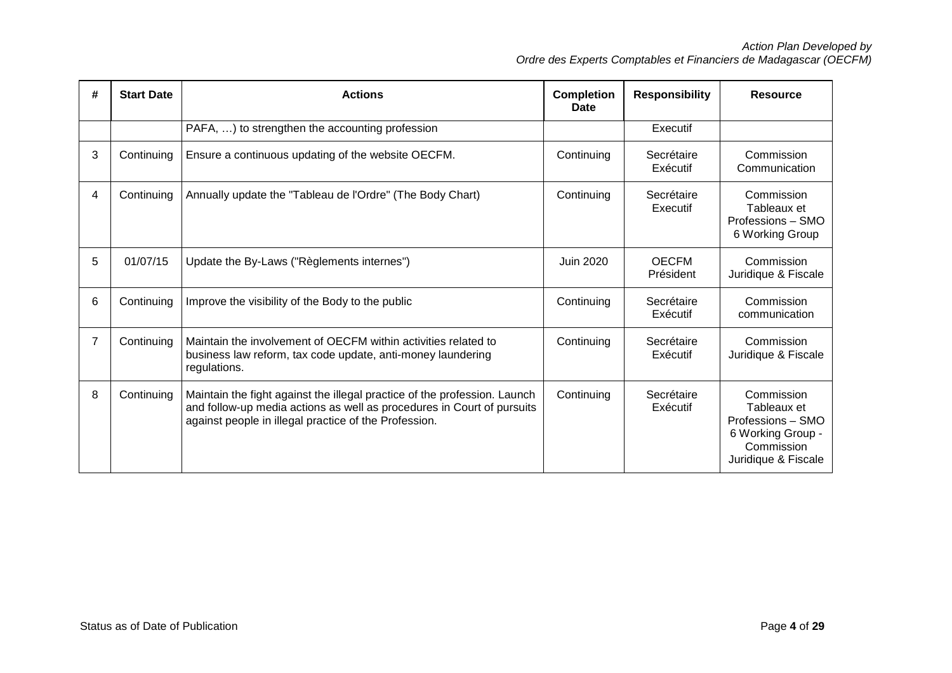| # | <b>Start Date</b> | <b>Actions</b>                                                                                                                                                                                               | <b>Completion</b><br>Date | <b>Responsibility</b>     | <b>Resource</b>                                                                                          |
|---|-------------------|--------------------------------------------------------------------------------------------------------------------------------------------------------------------------------------------------------------|---------------------------|---------------------------|----------------------------------------------------------------------------------------------------------|
|   |                   | PAFA, ) to strengthen the accounting profession                                                                                                                                                              |                           | Executif                  |                                                                                                          |
| 3 | Continuing        | Ensure a continuous updating of the website OECFM.                                                                                                                                                           | Continuing                | Secrétaire<br>Exécutif    | Commission<br>Communication                                                                              |
| 4 | Continuing        | Annually update the "Tableau de l'Ordre" (The Body Chart)                                                                                                                                                    | Continuing                | Secrétaire<br>Executif    | Commission<br>Tableaux et<br>Professions - SMO<br>6 Working Group                                        |
| 5 | 01/07/15          | Update the By-Laws ("Règlements internes")                                                                                                                                                                   | <b>Juin 2020</b>          | <b>OECFM</b><br>Président | Commission<br>Juridique & Fiscale                                                                        |
| 6 | Continuing        | Improve the visibility of the Body to the public                                                                                                                                                             | Continuing                | Secrétaire<br>Exécutif    | Commission<br>communication                                                                              |
| 7 | Continuing        | Maintain the involvement of OECFM within activities related to<br>business law reform, tax code update, anti-money laundering<br>regulations.                                                                | Continuing                | Secrétaire<br>Exécutif    | Commission<br>Juridique & Fiscale                                                                        |
| 8 | Continuing        | Maintain the fight against the illegal practice of the profession. Launch<br>and follow-up media actions as well as procedures in Court of pursuits<br>against people in illegal practice of the Profession. | Continuing                | Secrétaire<br>Exécutif    | Commission<br>Tableaux et<br>Professions - SMO<br>6 Working Group -<br>Commission<br>Juridique & Fiscale |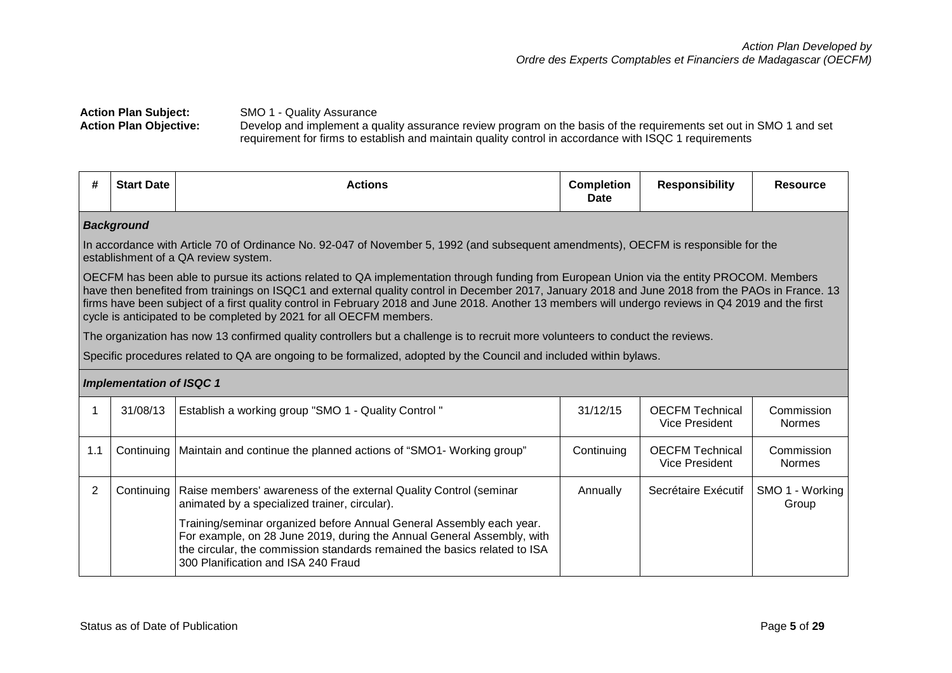## **Action Plan Subject:** SMO 1 - Quality Assurance<br>**Action Plan Objective:** Develop and implement a q **Action Plan Objective:** Develop and implement a quality assurance review program on the basis of the requirements set out in SMO 1 and set requirement for firms to establish and maintain quality control in accordance with ISQC 1 requirements

| #              | <b>Start Date</b>                                                                                                                                                                                                                                                                                                                                                                                                                                                                                                            | <b>Actions</b>                                                                                                                                                                                                                                                     | <b>Completion</b><br><b>Date</b> | <b>Responsibility</b>                           | <b>Resource</b>             |  |  |  |  |  |
|----------------|------------------------------------------------------------------------------------------------------------------------------------------------------------------------------------------------------------------------------------------------------------------------------------------------------------------------------------------------------------------------------------------------------------------------------------------------------------------------------------------------------------------------------|--------------------------------------------------------------------------------------------------------------------------------------------------------------------------------------------------------------------------------------------------------------------|----------------------------------|-------------------------------------------------|-----------------------------|--|--|--|--|--|
|                | <b>Background</b>                                                                                                                                                                                                                                                                                                                                                                                                                                                                                                            |                                                                                                                                                                                                                                                                    |                                  |                                                 |                             |  |  |  |  |  |
|                |                                                                                                                                                                                                                                                                                                                                                                                                                                                                                                                              | In accordance with Article 70 of Ordinance No. 92-047 of November 5, 1992 (and subsequent amendments), OECFM is responsible for the<br>establishment of a QA review system.                                                                                        |                                  |                                                 |                             |  |  |  |  |  |
|                | OECFM has been able to pursue its actions related to QA implementation through funding from European Union via the entity PROCOM. Members<br>have then benefited from trainings on ISQC1 and external quality control in December 2017, January 2018 and June 2018 from the PAOs in France. 13<br>firms have been subject of a first quality control in February 2018 and June 2018. Another 13 members will undergo reviews in Q4 2019 and the first<br>cycle is anticipated to be completed by 2021 for all OECFM members. |                                                                                                                                                                                                                                                                    |                                  |                                                 |                             |  |  |  |  |  |
|                |                                                                                                                                                                                                                                                                                                                                                                                                                                                                                                                              | The organization has now 13 confirmed quality controllers but a challenge is to recruit more volunteers to conduct the reviews.                                                                                                                                    |                                  |                                                 |                             |  |  |  |  |  |
|                |                                                                                                                                                                                                                                                                                                                                                                                                                                                                                                                              | Specific procedures related to QA are ongoing to be formalized, adopted by the Council and included within bylaws.                                                                                                                                                 |                                  |                                                 |                             |  |  |  |  |  |
|                | <b>Implementation of ISQC 1</b>                                                                                                                                                                                                                                                                                                                                                                                                                                                                                              |                                                                                                                                                                                                                                                                    |                                  |                                                 |                             |  |  |  |  |  |
| 1              | 31/08/13                                                                                                                                                                                                                                                                                                                                                                                                                                                                                                                     | Establish a working group "SMO 1 - Quality Control"                                                                                                                                                                                                                | 31/12/15                         | <b>OECFM Technical</b><br>Vice President        | Commission<br><b>Normes</b> |  |  |  |  |  |
| 1.1            |                                                                                                                                                                                                                                                                                                                                                                                                                                                                                                                              | Continuing   Maintain and continue the planned actions of "SMO1- Working group"                                                                                                                                                                                    | Continuing                       | <b>OECFM Technical</b><br><b>Vice President</b> | Commission<br><b>Normes</b> |  |  |  |  |  |
| $\overline{2}$ | Continuing                                                                                                                                                                                                                                                                                                                                                                                                                                                                                                                   | Raise members' awareness of the external Quality Control (seminar<br>animated by a specialized trainer, circular).                                                                                                                                                 | Annually                         | Secrétaire Exécutif                             | SMO 1 - Working<br>Group    |  |  |  |  |  |
|                |                                                                                                                                                                                                                                                                                                                                                                                                                                                                                                                              | Training/seminar organized before Annual General Assembly each year.<br>For example, on 28 June 2019, during the Annual General Assembly, with<br>the circular, the commission standards remained the basics related to ISA<br>300 Planification and ISA 240 Fraud |                                  |                                                 |                             |  |  |  |  |  |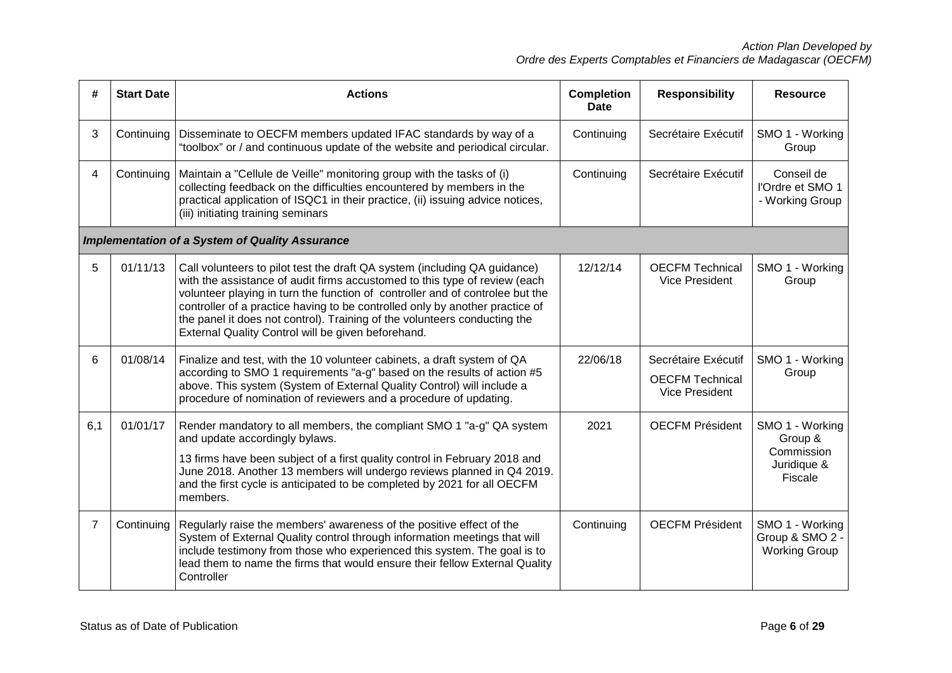| #              | <b>Start Date</b> | <b>Actions</b>                                                                                                                                                                                                                                                                                                                                                                                                                                              | <b>Completion</b><br>Date | <b>Responsibility</b>                                                  | <b>Resource</b>                                                    |
|----------------|-------------------|-------------------------------------------------------------------------------------------------------------------------------------------------------------------------------------------------------------------------------------------------------------------------------------------------------------------------------------------------------------------------------------------------------------------------------------------------------------|---------------------------|------------------------------------------------------------------------|--------------------------------------------------------------------|
| 3              | Continuing        | Disseminate to OECFM members updated IFAC standards by way of a<br>"toolbox" or / and continuous update of the website and periodical circular.                                                                                                                                                                                                                                                                                                             | Continuing                | Secrétaire Exécutif                                                    | SMO 1 - Working<br>Group                                           |
| 4              | Continuing        | Maintain a "Cellule de Veille" monitoring group with the tasks of (i)<br>collecting feedback on the difficulties encountered by members in the<br>practical application of ISQC1 in their practice, (ii) issuing advice notices,<br>(iii) initiating training seminars                                                                                                                                                                                      | Continuing                | Secrétaire Exécutif                                                    | Conseil de<br>l'Ordre et SMO 1<br>- Working Group                  |
|                |                   | <b>Implementation of a System of Quality Assurance</b>                                                                                                                                                                                                                                                                                                                                                                                                      |                           |                                                                        |                                                                    |
| 5              | 01/11/13          | Call volunteers to pilot test the draft QA system (including QA guidance)<br>with the assistance of audit firms accustomed to this type of review (each<br>volunteer playing in turn the function of controller and of controlee but the<br>controller of a practice having to be controlled only by another practice of<br>the panel it does not control). Training of the volunteers conducting the<br>External Quality Control will be given beforehand. | 12/12/14                  | <b>OECFM Technical</b><br>Vice President                               | SMO 1 - Working<br>Group                                           |
| 6              | 01/08/14          | Finalize and test, with the 10 volunteer cabinets, a draft system of QA<br>according to SMO 1 requirements "a-g" based on the results of action #5<br>above. This system (System of External Quality Control) will include a<br>procedure of nomination of reviewers and a procedure of updating.                                                                                                                                                           | 22/06/18                  | Secrétaire Exécutif<br><b>OECFM Technical</b><br><b>Vice President</b> | SMO 1 - Working<br>Group                                           |
| 6,1            | 01/01/17          | Render mandatory to all members, the compliant SMO 1 "a-g" QA system<br>and update accordingly bylaws.<br>13 firms have been subject of a first quality control in February 2018 and<br>June 2018. Another 13 members will undergo reviews planned in Q4 2019.<br>and the first cycle is anticipated to be completed by 2021 for all OECFM<br>members.                                                                                                      | 2021                      | <b>OECFM Président</b>                                                 | SMO 1 - Working<br>Group &<br>Commission<br>Juridique &<br>Fiscale |
| $\overline{7}$ | Continuing        | Regularly raise the members' awareness of the positive effect of the<br>System of External Quality control through information meetings that will<br>include testimony from those who experienced this system. The goal is to<br>lead them to name the firms that would ensure their fellow External Quality<br>Controller                                                                                                                                  | Continuing                | <b>OECFM Président</b>                                                 | SMO 1 - Working<br>Group & SMO 2 -<br><b>Working Group</b>         |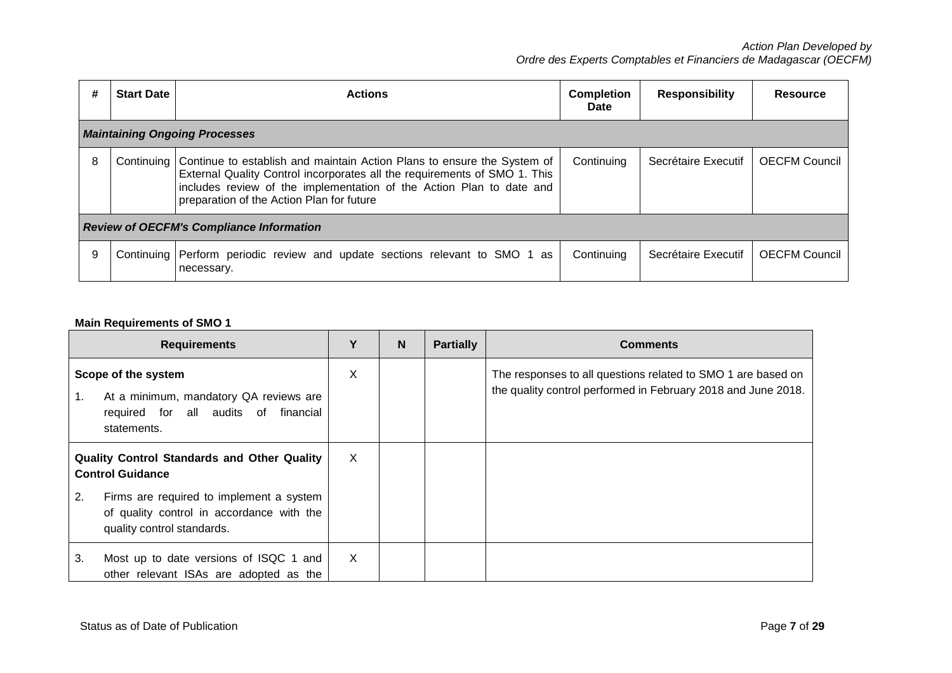| #                                               | <b>Start Date</b>                    | <b>Actions</b>                                                                                                                                                                                                                                                                         | <b>Completion</b><br>Date | <b>Responsibility</b> | <b>Resource</b>      |  |  |  |
|-------------------------------------------------|--------------------------------------|----------------------------------------------------------------------------------------------------------------------------------------------------------------------------------------------------------------------------------------------------------------------------------------|---------------------------|-----------------------|----------------------|--|--|--|
|                                                 | <b>Maintaining Ongoing Processes</b> |                                                                                                                                                                                                                                                                                        |                           |                       |                      |  |  |  |
| 8                                               |                                      | Continuing   Continue to establish and maintain Action Plans to ensure the System of<br>External Quality Control incorporates all the requirements of SMO 1. This<br>includes review of the implementation of the Action Plan to date and<br>preparation of the Action Plan for future | Continuing                | Secrétaire Executif   | <b>OECFM Council</b> |  |  |  |
| <b>Review of OECFM's Compliance Information</b> |                                      |                                                                                                                                                                                                                                                                                        |                           |                       |                      |  |  |  |
| -9                                              |                                      | Continuing Perform periodic review and update sections relevant to SMO 1 as<br>necessary.                                                                                                                                                                                              | Continuing                | Secrétaire Executif   | <b>OECFM Council</b> |  |  |  |

## **Main Requirements of SMO 1**

| <b>Requirements</b>                                                                                                        | Υ | N | <b>Partially</b> | <b>Comments</b>                                                                                                               |
|----------------------------------------------------------------------------------------------------------------------------|---|---|------------------|-------------------------------------------------------------------------------------------------------------------------------|
| Scope of the system<br>At a minimum, mandatory QA reviews are<br>1.<br>required for all audits of financial<br>statements. | X |   |                  | The responses to all questions related to SMO 1 are based on<br>the quality control performed in February 2018 and June 2018. |
| <b>Quality Control Standards and Other Quality</b><br><b>Control Guidance</b>                                              | X |   |                  |                                                                                                                               |
| Firms are required to implement a system<br>2.<br>of quality control in accordance with the<br>quality control standards.  |   |   |                  |                                                                                                                               |
| Most up to date versions of ISQC 1 and<br>3.<br>other relevant ISAs are adopted as the                                     | X |   |                  |                                                                                                                               |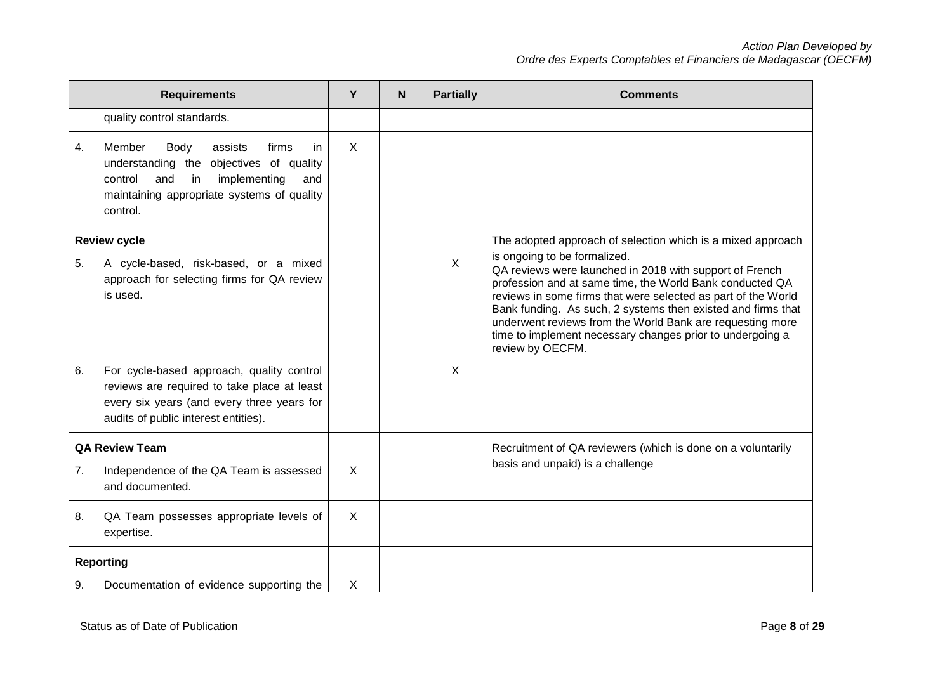| <b>Requirements</b> |                                                                                                                                                                                                  | Y            | N | <b>Partially</b> | <b>Comments</b>                                                                                                                                                                                                                                                                                                                                                                                                                                                                                   |
|---------------------|--------------------------------------------------------------------------------------------------------------------------------------------------------------------------------------------------|--------------|---|------------------|---------------------------------------------------------------------------------------------------------------------------------------------------------------------------------------------------------------------------------------------------------------------------------------------------------------------------------------------------------------------------------------------------------------------------------------------------------------------------------------------------|
|                     | quality control standards.                                                                                                                                                                       |              |   |                  |                                                                                                                                                                                                                                                                                                                                                                                                                                                                                                   |
| $\overline{4}$ .    | Member<br>Body<br>assists<br>firms<br>in.<br>understanding the<br>objectives of quality<br>implementing<br>control<br>and<br>in<br>and<br>maintaining appropriate systems of quality<br>control. | $\mathsf{X}$ |   |                  |                                                                                                                                                                                                                                                                                                                                                                                                                                                                                                   |
| 5.                  | <b>Review cycle</b><br>A cycle-based, risk-based, or a mixed<br>approach for selecting firms for QA review<br>is used.                                                                           |              |   | $\mathsf{X}$     | The adopted approach of selection which is a mixed approach<br>is ongoing to be formalized.<br>QA reviews were launched in 2018 with support of French<br>profession and at same time, the World Bank conducted QA<br>reviews in some firms that were selected as part of the World<br>Bank funding. As such, 2 systems then existed and firms that<br>underwent reviews from the World Bank are requesting more<br>time to implement necessary changes prior to undergoing a<br>review by OECFM. |
| 6.                  | For cycle-based approach, quality control<br>reviews are required to take place at least<br>every six years (and every three years for<br>audits of public interest entities).                   |              |   | X                |                                                                                                                                                                                                                                                                                                                                                                                                                                                                                                   |
| 7.                  | <b>QA Review Team</b><br>Independence of the QA Team is assessed<br>and documented.                                                                                                              | $\sf X$      |   |                  | Recruitment of QA reviewers (which is done on a voluntarily<br>basis and unpaid) is a challenge                                                                                                                                                                                                                                                                                                                                                                                                   |
| 8.                  | QA Team possesses appropriate levels of<br>expertise.                                                                                                                                            | X            |   |                  |                                                                                                                                                                                                                                                                                                                                                                                                                                                                                                   |
|                     | <b>Reporting</b>                                                                                                                                                                                 |              |   |                  |                                                                                                                                                                                                                                                                                                                                                                                                                                                                                                   |
| 9.                  | Documentation of evidence supporting the                                                                                                                                                         | Χ            |   |                  |                                                                                                                                                                                                                                                                                                                                                                                                                                                                                                   |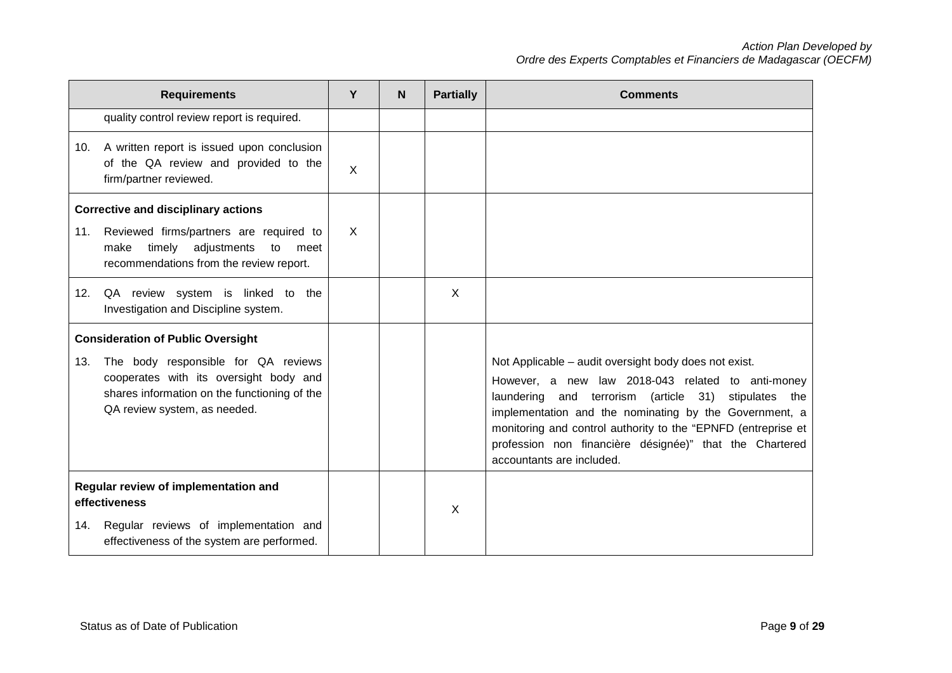|                                                                                                                                                     | <b>Requirements</b>                                                                                                                                           | Y | <b>N</b> | <b>Partially</b> | <b>Comments</b>                                                                                                                                                                                                                                                                                                                                                                                   |
|-----------------------------------------------------------------------------------------------------------------------------------------------------|---------------------------------------------------------------------------------------------------------------------------------------------------------------|---|----------|------------------|---------------------------------------------------------------------------------------------------------------------------------------------------------------------------------------------------------------------------------------------------------------------------------------------------------------------------------------------------------------------------------------------------|
|                                                                                                                                                     | quality control review report is required.                                                                                                                    |   |          |                  |                                                                                                                                                                                                                                                                                                                                                                                                   |
| 10.                                                                                                                                                 | A written report is issued upon conclusion<br>of the QA review and provided to the<br>firm/partner reviewed.                                                  | X |          |                  |                                                                                                                                                                                                                                                                                                                                                                                                   |
|                                                                                                                                                     | <b>Corrective and disciplinary actions</b>                                                                                                                    |   |          |                  |                                                                                                                                                                                                                                                                                                                                                                                                   |
| 11.                                                                                                                                                 | Reviewed firms/partners are required to<br>adjustments<br>timely<br>make<br>to<br>meet<br>recommendations from the review report.                             | X |          |                  |                                                                                                                                                                                                                                                                                                                                                                                                   |
|                                                                                                                                                     | 12. QA review system is linked to the<br>Investigation and Discipline system.                                                                                 |   |          | $\times$         |                                                                                                                                                                                                                                                                                                                                                                                                   |
|                                                                                                                                                     | <b>Consideration of Public Oversight</b>                                                                                                                      |   |          |                  |                                                                                                                                                                                                                                                                                                                                                                                                   |
| 13.                                                                                                                                                 | The body responsible for QA reviews<br>cooperates with its oversight body and<br>shares information on the functioning of the<br>QA review system, as needed. |   |          |                  | Not Applicable - audit oversight body does not exist.<br>However, a new law 2018-043 related to anti-money<br>laundering<br>and terrorism (article<br>31)<br>stipulates<br>the<br>implementation and the nominating by the Government, a<br>monitoring and control authority to the "EPNFD (entreprise et<br>profession non financière désignée)" that the Chartered<br>accountants are included. |
| Regular review of implementation and<br>effectiveness<br>Regular reviews of implementation and<br>14.<br>effectiveness of the system are performed. |                                                                                                                                                               |   |          | X                |                                                                                                                                                                                                                                                                                                                                                                                                   |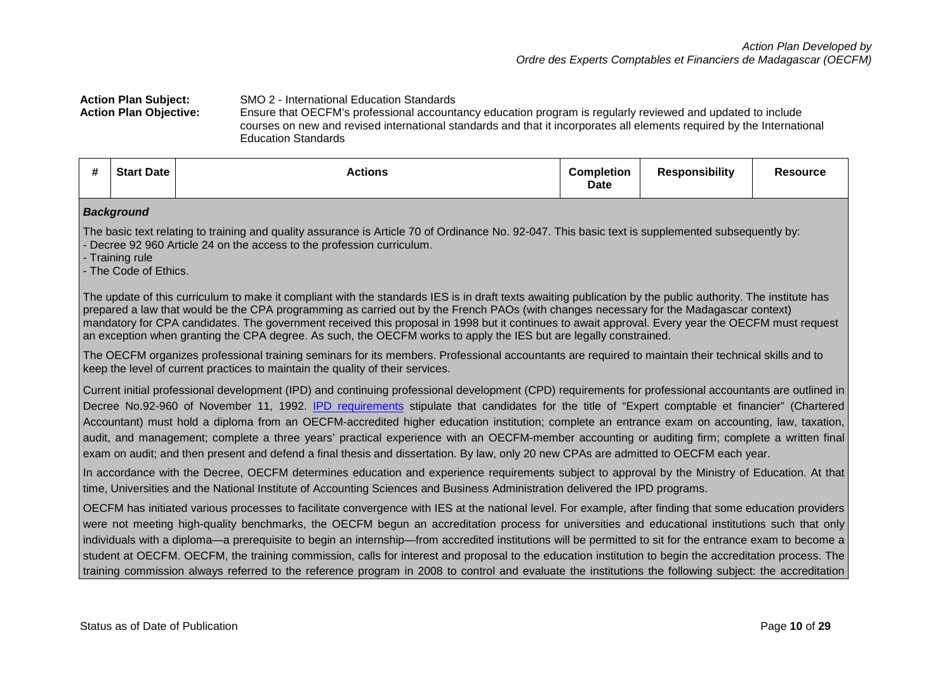## **Action Plan Subject:** SMO 2 - International Education Standards **Action Plan Objective:** Ensure that OECFM's professional accountancy education program is regularly reviewed and updated to include courses on new and revised international standards and that it incorporates all elements required by the International Education Standards

|  | #<br>π | Date<br>$C+$ | Actions | <b>Completion</b><br>Date | esponsibility | desource o |
|--|--------|--------------|---------|---------------------------|---------------|------------|
|--|--------|--------------|---------|---------------------------|---------------|------------|

#### *Background*

The basic text relating to training and quality assurance is Article 70 of Ordinance No. 92-047. This basic text is supplemented subsequently by: - Decree 92 960 Article 24 on the access to the profession curriculum.

- Training rule

- The Code of Ethics.

The update of this curriculum to make it compliant with the standards IES is in draft texts awaiting publication by the public authority. The institute has prepared a law that would be the CPA programming as carried out by the French PAOs (with changes necessary for the Madagascar context) mandatory for CPA candidates. The government received this proposal in 1998 but it continues to await approval. Every year the OECFM must request an exception when granting the CPA degree. As such, the OECFM works to apply the IES but are legally constrained.

The OECFM organizes professional training seminars for its members. Professional accountants are required to maintain their technical skills and to keep the level of current practices to maintain the quality of their services.

Current initial professional development (IPD) and continuing professional development (CPD) requirements for professional accountants are outlined in Decree No.92-960 of November 11, 1992. [IPD requirements](http://www.oecfm.mg/fr/node/152) stipulate that candidates for the title of "Expert comptable et financier" (Chartered Accountant) must hold a diploma from an OECFM-accredited higher education institution; complete an entrance exam on accounting, law, taxation, audit, and management; complete a three years' practical experience with an OECFM-member accounting or auditing firm; complete a written final exam on audit; and then present and defend a final thesis and dissertation. By law, only 20 new CPAs are admitted to OECFM each year.

In accordance with the Decree, OECFM determines education and experience requirements subject to approval by the Ministry of Education. At that time, Universities and the National Institute of Accounting Sciences and Business Administration delivered the IPD programs.

OECFM has initiated various processes to facilitate convergence with IES at the national level. For example, after finding that some education providers were not meeting high-quality benchmarks, the OECFM begun an accreditation process for universities and educational institutions such that only individuals with a diploma—a prerequisite to begin an internship—from accredited institutions will be permitted to sit for the entrance exam to become a student at OECFM. OECFM, the training commission, calls for interest and proposal to the education institution to begin the accreditation process. The training commission always referred to the reference program in 2008 to control and evaluate the institutions the following subject: the accreditation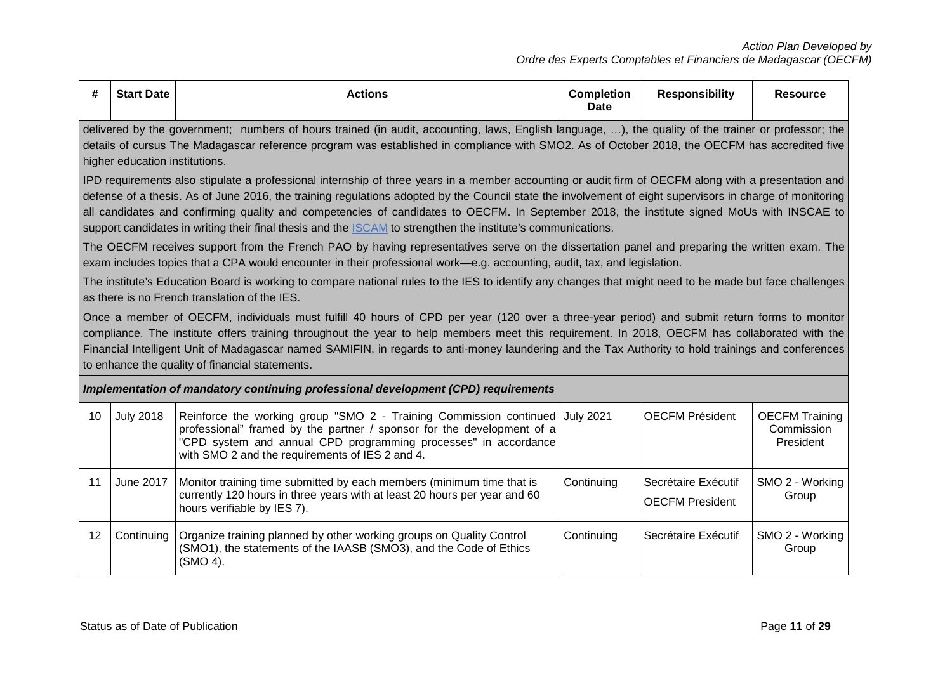| #  | <b>Start Date</b>                                                                                                                                                                                                                                                                                                                                                                                                                                                                                                                                                                                                                                                                                                              | <b>Actions</b>                                                                                                                                                                                                                                                     | <b>Completion</b><br><b>Date</b> | <b>Responsibility</b>                         | <b>Resource</b>                                  |  |  |  |  |
|----|--------------------------------------------------------------------------------------------------------------------------------------------------------------------------------------------------------------------------------------------------------------------------------------------------------------------------------------------------------------------------------------------------------------------------------------------------------------------------------------------------------------------------------------------------------------------------------------------------------------------------------------------------------------------------------------------------------------------------------|--------------------------------------------------------------------------------------------------------------------------------------------------------------------------------------------------------------------------------------------------------------------|----------------------------------|-----------------------------------------------|--------------------------------------------------|--|--|--|--|
|    | delivered by the government; numbers of hours trained (in audit, accounting, laws, English language, ), the quality of the trainer or professor; the<br>details of cursus The Madagascar reference program was established in compliance with SMO2. As of October 2018, the OECFM has accredited five<br>higher education institutions.                                                                                                                                                                                                                                                                                                                                                                                        |                                                                                                                                                                                                                                                                    |                                  |                                               |                                                  |  |  |  |  |
|    | IPD requirements also stipulate a professional internship of three years in a member accounting or audit firm of OECFM along with a presentation and<br>defense of a thesis. As of June 2016, the training regulations adopted by the Council state the involvement of eight supervisors in charge of monitoring<br>all candidates and confirming quality and competencies of candidates to OECFM. In September 2018, the institute signed MoUs with INSCAE to<br>support candidates in writing their final thesis and the ISCAM to strengthen the institute's communications.<br>The OECFM receives support from the French PAO by having representatives serve on the dissertation panel and preparing the written exam. The |                                                                                                                                                                                                                                                                    |                                  |                                               |                                                  |  |  |  |  |
|    | exam includes topics that a CPA would encounter in their professional work—e.g. accounting, audit, tax, and legislation.<br>The institute's Education Board is working to compare national rules to the IES to identify any changes that might need to be made but face challenges<br>as there is no French translation of the IES.<br>Once a member of OECFM, individuals must fulfill 40 hours of CPD per year (120 over a three-year period) and submit return forms to monitor<br>compliance. The institute offers training throughout the year to help members meet this requirement. In 2018, OECFM has collaborated with the                                                                                            |                                                                                                                                                                                                                                                                    |                                  |                                               |                                                  |  |  |  |  |
|    | Financial Intelligent Unit of Madagascar named SAMIFIN, in regards to anti-money laundering and the Tax Authority to hold trainings and conferences<br>to enhance the quality of financial statements.                                                                                                                                                                                                                                                                                                                                                                                                                                                                                                                         |                                                                                                                                                                                                                                                                    |                                  |                                               |                                                  |  |  |  |  |
|    | Implementation of mandatory continuing professional development (CPD) requirements                                                                                                                                                                                                                                                                                                                                                                                                                                                                                                                                                                                                                                             |                                                                                                                                                                                                                                                                    |                                  |                                               |                                                  |  |  |  |  |
| 10 | <b>July 2018</b>                                                                                                                                                                                                                                                                                                                                                                                                                                                                                                                                                                                                                                                                                                               | Reinforce the working group "SMO 2 - Training Commission continued<br>professional" framed by the partner / sponsor for the development of a<br>"CPD system and annual CPD programming processes" in accordance<br>with SMO 2 and the requirements of IES 2 and 4. | <b>July 2021</b>                 | <b>OECFM Président</b>                        | <b>OECFM Training</b><br>Commission<br>President |  |  |  |  |
| 11 | June 2017<br>Monitor training time submitted by each members (minimum time that is<br>currently 120 hours in three years with at least 20 hours per year and 60<br>hours verifiable by IES 7).                                                                                                                                                                                                                                                                                                                                                                                                                                                                                                                                 |                                                                                                                                                                                                                                                                    | Continuing                       | Secrétaire Exécutif<br><b>OECFM President</b> | SMO 2 - Working<br>Group                         |  |  |  |  |
| 12 | Continuing                                                                                                                                                                                                                                                                                                                                                                                                                                                                                                                                                                                                                                                                                                                     | Organize training planned by other working groups on Quality Control<br>(SMO1), the statements of the IAASB (SMO3), and the Code of Ethics<br>(SMO 4).                                                                                                             | Continuing                       | Secrétaire Exécutif                           | SMO 2 - Working<br>Group                         |  |  |  |  |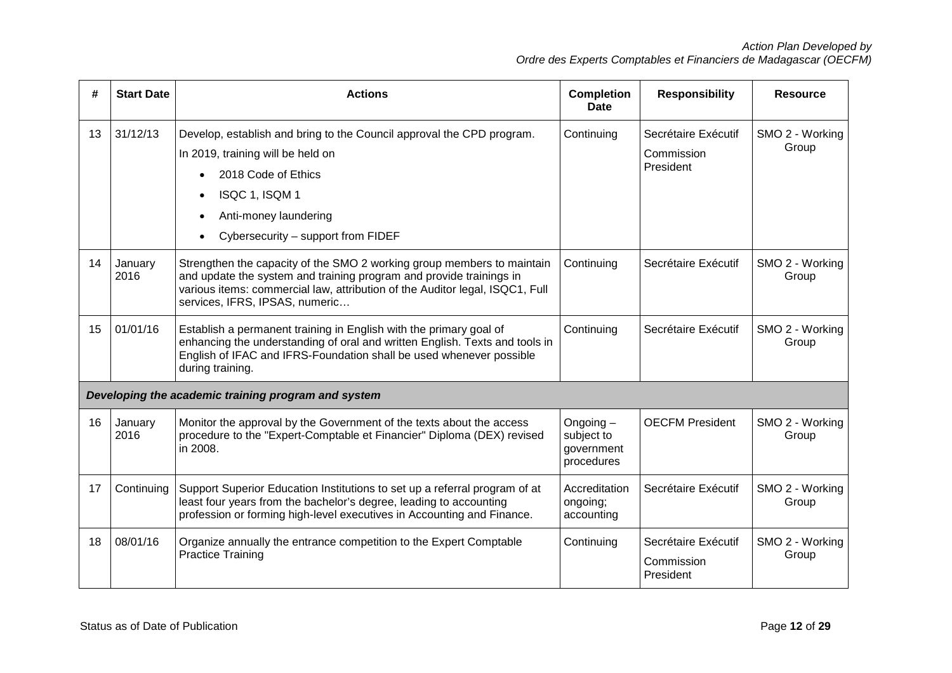| #  | <b>Start Date</b> | <b>Actions</b>                                                                                                                                                                                                                                                  | <b>Completion</b><br><b>Date</b>                   | <b>Responsibility</b>                          | <b>Resource</b>          |
|----|-------------------|-----------------------------------------------------------------------------------------------------------------------------------------------------------------------------------------------------------------------------------------------------------------|----------------------------------------------------|------------------------------------------------|--------------------------|
| 13 | 31/12/13          | Develop, establish and bring to the Council approval the CPD program.<br>In 2019, training will be held on<br>2018 Code of Ethics<br>ISQC 1, ISQM 1<br>Anti-money laundering<br>Cybersecurity - support from FIDEF                                              | Continuing                                         | Secrétaire Exécutif<br>Commission<br>President | SMO 2 - Working<br>Group |
| 14 | January<br>2016   | Strengthen the capacity of the SMO 2 working group members to maintain<br>and update the system and training program and provide trainings in<br>various items: commercial law, attribution of the Auditor legal, ISQC1, Full<br>services, IFRS, IPSAS, numeric | Continuing                                         | Secrétaire Exécutif                            | SMO 2 - Working<br>Group |
| 15 | 01/01/16          | Establish a permanent training in English with the primary goal of<br>enhancing the understanding of oral and written English. Texts and tools in<br>English of IFAC and IFRS-Foundation shall be used whenever possible<br>during training.                    | Continuing                                         | Secrétaire Exécutif                            | SMO 2 - Working<br>Group |
|    |                   | Developing the academic training program and system                                                                                                                                                                                                             |                                                    |                                                |                          |
| 16 | January<br>2016   | Monitor the approval by the Government of the texts about the access<br>procedure to the "Expert-Comptable et Financier" Diploma (DEX) revised<br>in 2008.                                                                                                      | Ongoing-<br>subject to<br>government<br>procedures | <b>OECFM President</b>                         | SMO 2 - Working<br>Group |
| 17 | Continuing        | Support Superior Education Institutions to set up a referral program of at<br>least four years from the bachelor's degree, leading to accounting<br>profession or forming high-level executives in Accounting and Finance.                                      | Accreditation<br>ongoing;<br>accounting            | Secrétaire Exécutif                            | SMO 2 - Working<br>Group |
| 18 | 08/01/16          | Organize annually the entrance competition to the Expert Comptable<br><b>Practice Training</b>                                                                                                                                                                  | Continuing                                         | Secrétaire Exécutif<br>Commission<br>President | SMO 2 - Working<br>Group |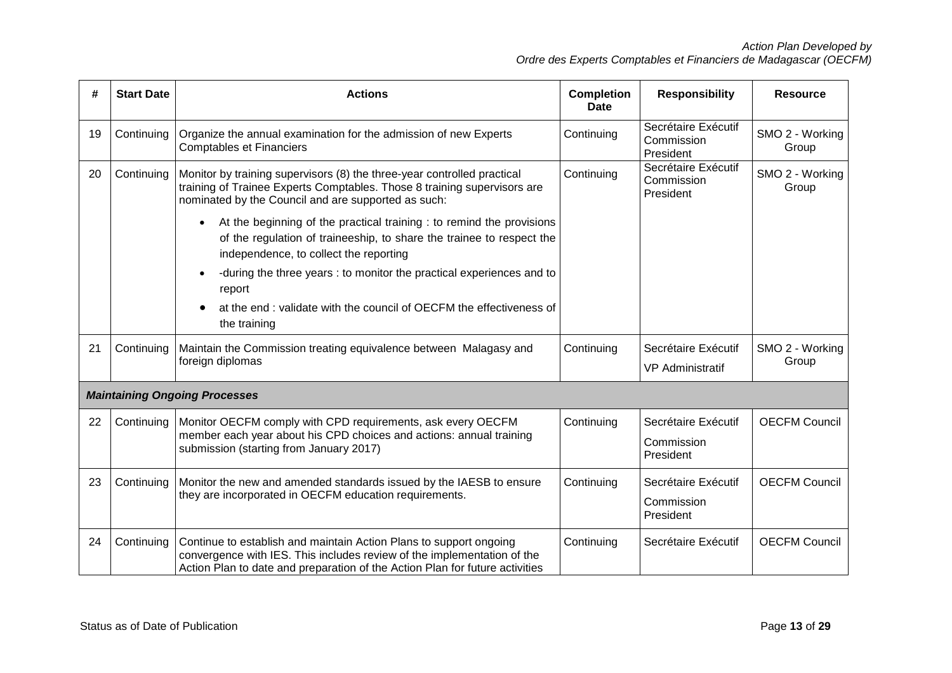| #  | <b>Start Date</b> | <b>Actions</b>                                                                                                                                                                                                                | <b>Completion</b><br><b>Date</b> | <b>Responsibility</b>                          | <b>Resource</b>          |
|----|-------------------|-------------------------------------------------------------------------------------------------------------------------------------------------------------------------------------------------------------------------------|----------------------------------|------------------------------------------------|--------------------------|
| 19 | Continuing        | Organize the annual examination for the admission of new Experts<br><b>Comptables et Financiers</b>                                                                                                                           | Continuing                       | Secrétaire Exécutif<br>Commission<br>President | SMO 2 - Working<br>Group |
| 20 | Continuing        | Monitor by training supervisors (8) the three-year controlled practical<br>training of Trainee Experts Comptables. Those 8 training supervisors are<br>nominated by the Council and are supported as such:                    | Continuing                       | Secrétaire Exécutif<br>Commission<br>President | SMO 2 - Working<br>Group |
|    |                   | At the beginning of the practical training : to remind the provisions<br>of the regulation of traineeship, to share the trainee to respect the<br>independence, to collect the reporting                                      |                                  |                                                |                          |
|    |                   | -during the three years : to monitor the practical experiences and to<br>report                                                                                                                                               |                                  |                                                |                          |
|    |                   | at the end : validate with the council of OECFM the effectiveness of<br>the training                                                                                                                                          |                                  |                                                |                          |
| 21 | Continuing        | Maintain the Commission treating equivalence between Malagasy and<br>foreign diplomas                                                                                                                                         | Continuing                       | Secrétaire Exécutif<br><b>VP Administratif</b> | SMO 2 - Working<br>Group |
|    |                   | <b>Maintaining Ongoing Processes</b>                                                                                                                                                                                          |                                  |                                                |                          |
| 22 | Continuing        | Monitor OECFM comply with CPD requirements, ask every OECFM<br>member each year about his CPD choices and actions: annual training<br>submission (starting from January 2017)                                                 | Continuing                       | Secrétaire Exécutif<br>Commission<br>President | <b>OECFM Council</b>     |
| 23 | Continuing        | Monitor the new and amended standards issued by the IAESB to ensure<br>they are incorporated in OECFM education requirements.                                                                                                 | Continuing                       | Secrétaire Exécutif<br>Commission<br>President | <b>OECFM Council</b>     |
| 24 | Continuing        | Continue to establish and maintain Action Plans to support ongoing<br>convergence with IES. This includes review of the implementation of the<br>Action Plan to date and preparation of the Action Plan for future activities | Continuing                       | Secrétaire Exécutif                            | <b>OECFM Council</b>     |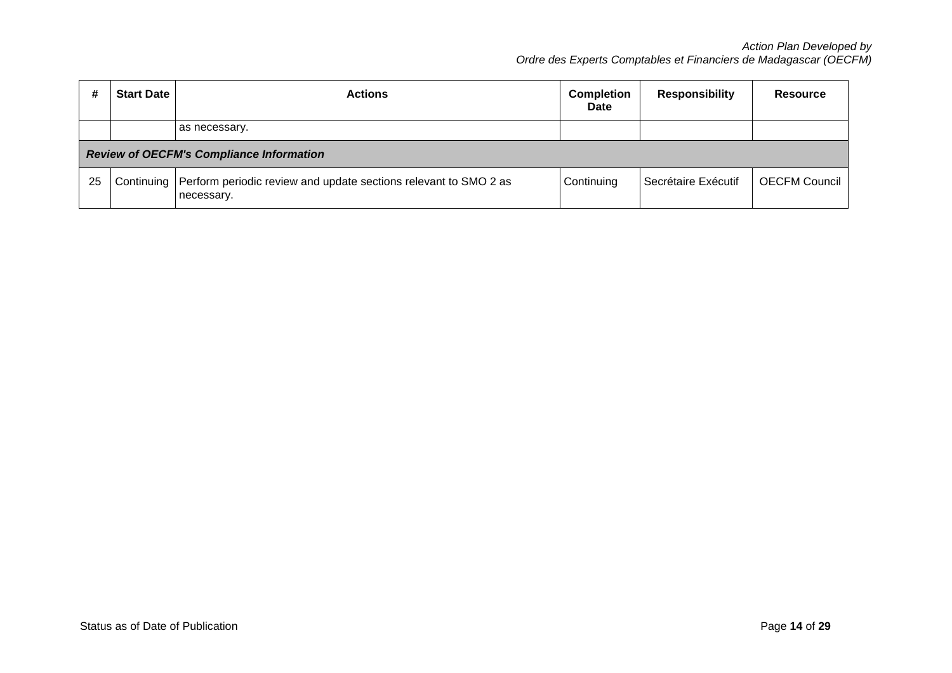|    | <b>Start Date</b> | <b>Actions</b>                                                                              | <b>Completion</b><br><b>Date</b> | <b>Responsibility</b> | Resource      |
|----|-------------------|---------------------------------------------------------------------------------------------|----------------------------------|-----------------------|---------------|
|    |                   | as necessary.                                                                               |                                  |                       |               |
|    |                   | <b>Review of OECFM's Compliance Information</b>                                             |                                  |                       |               |
| 25 |                   | Continuing   Perform periodic review and update sections relevant to SMO 2 as<br>necessary. | Continuing                       | Secrétaire Exécutif   | OECFM Council |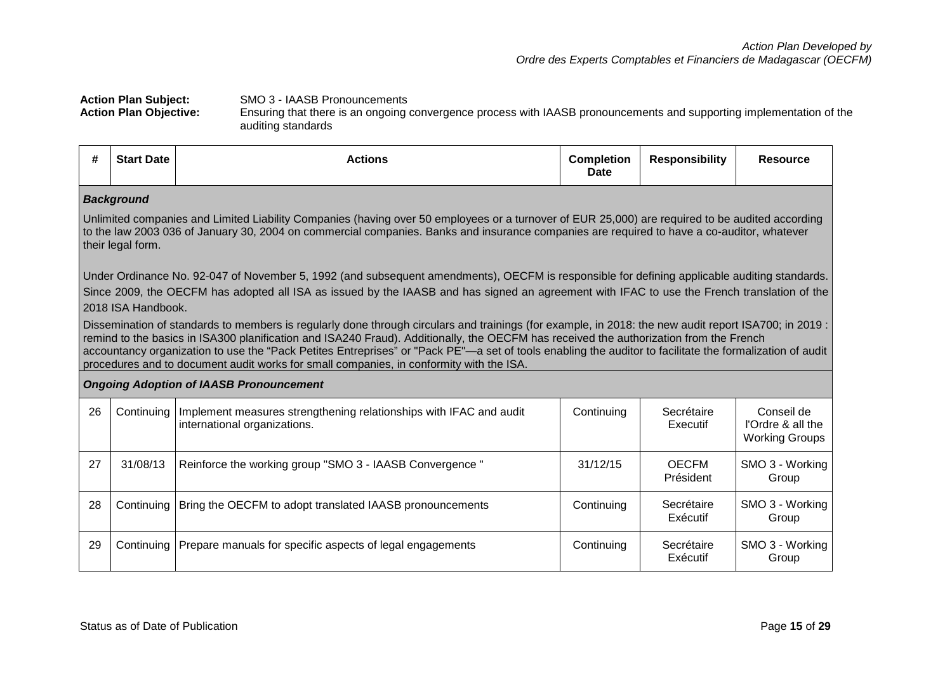#### Action Plan Subject: SMO 3 - IAASB Pronouncements<br>Action Plan Objective: Ensuring that there is an ongoing **Action Plan Objective:** Ensuring that there is an ongoing convergence process with IAASB pronouncements and supporting implementation of the auditing standards

| #  | <b>Start Date</b>                      | <b>Actions</b>                                                                                                                                                                                                                                                                                                                                                                                                                                                                                                                                                                                                                                                                                                                                                                                                                                                                                         | <b>Completion</b><br>Date | <b>Responsibility</b>     | <b>Resource</b>                                          |
|----|----------------------------------------|--------------------------------------------------------------------------------------------------------------------------------------------------------------------------------------------------------------------------------------------------------------------------------------------------------------------------------------------------------------------------------------------------------------------------------------------------------------------------------------------------------------------------------------------------------------------------------------------------------------------------------------------------------------------------------------------------------------------------------------------------------------------------------------------------------------------------------------------------------------------------------------------------------|---------------------------|---------------------------|----------------------------------------------------------|
|    | <b>Background</b><br>their legal form. | Unlimited companies and Limited Liability Companies (having over 50 employees or a turnover of EUR 25,000) are required to be audited according<br>to the law 2003 036 of January 30, 2004 on commercial companies. Banks and insurance companies are required to have a co-auditor, whatever                                                                                                                                                                                                                                                                                                                                                                                                                                                                                                                                                                                                          |                           |                           |                                                          |
|    | 2018 ISA Handbook.                     | Under Ordinance No. 92-047 of November 5, 1992 (and subsequent amendments), OECFM is responsible for defining applicable auditing standards.<br>Since 2009, the OECFM has adopted all ISA as issued by the IAASB and has signed an agreement with IFAC to use the French translation of the<br>Dissemination of standards to members is regularly done through circulars and trainings (for example, in 2018: the new audit report ISA700; in 2019:<br>remind to the basics in ISA300 planification and ISA240 Fraud). Additionally, the OECFM has received the authorization from the French<br>accountancy organization to use the "Pack Petites Entreprises" or "Pack PE"-a set of tools enabling the auditor to facilitate the formalization of audit<br>procedures and to document audit works for small companies, in conformity with the ISA.<br><b>Ongoing Adoption of IAASB Pronouncement</b> |                           |                           |                                                          |
| 26 | Continuing                             | Implement measures strengthening relationships with IFAC and audit<br>international organizations.                                                                                                                                                                                                                                                                                                                                                                                                                                                                                                                                                                                                                                                                                                                                                                                                     | Continuing                | Secrétaire<br>Executif    | Conseil de<br>l'Ordre & all the<br><b>Working Groups</b> |
| 27 | 31/08/13                               | Reinforce the working group "SMO 3 - IAASB Convergence "                                                                                                                                                                                                                                                                                                                                                                                                                                                                                                                                                                                                                                                                                                                                                                                                                                               | 31/12/15                  | <b>OECFM</b><br>Président | SMO 3 - Working<br>Group                                 |
| 28 | Continuing                             | Bring the OECFM to adopt translated IAASB pronouncements                                                                                                                                                                                                                                                                                                                                                                                                                                                                                                                                                                                                                                                                                                                                                                                                                                               | Continuing                | Secrétaire<br>Exécutif    | SMO 3 - Working<br>Group                                 |
| 29 | Continuing                             | Prepare manuals for specific aspects of legal engagements                                                                                                                                                                                                                                                                                                                                                                                                                                                                                                                                                                                                                                                                                                                                                                                                                                              | Continuing                | Secrétaire<br>Exécutif    | SMO 3 - Working<br>Group                                 |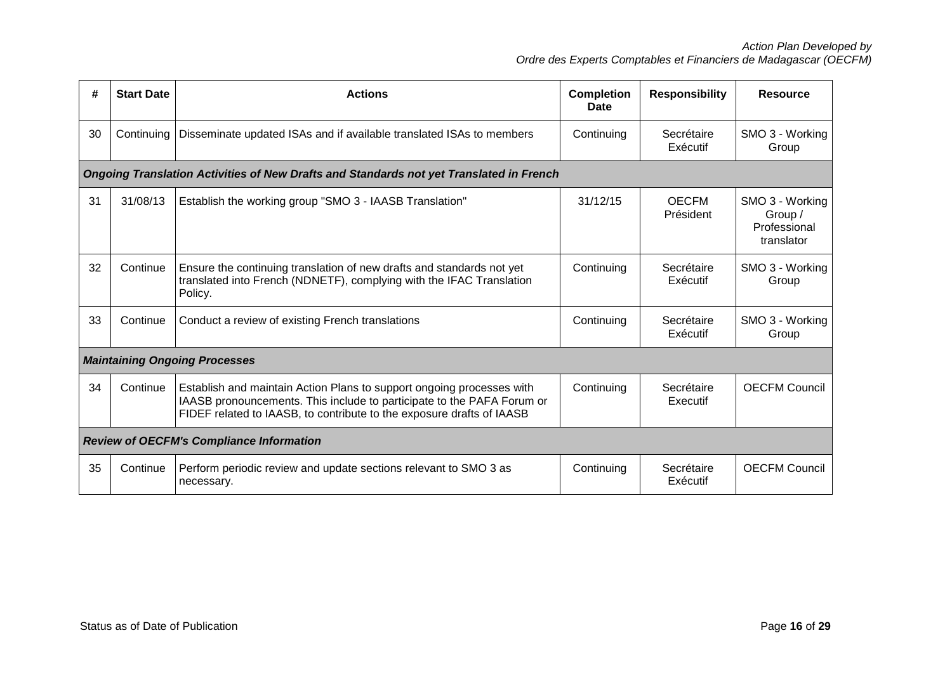| #  | <b>Start Date</b> | <b>Actions</b>                                                                                                                                                                                                           | <b>Completion</b><br>Date | <b>Responsibility</b>     | <b>Resource</b>                                          |
|----|-------------------|--------------------------------------------------------------------------------------------------------------------------------------------------------------------------------------------------------------------------|---------------------------|---------------------------|----------------------------------------------------------|
| 30 | Continuing        | Disseminate updated ISAs and if available translated ISAs to members                                                                                                                                                     | Continuing                | Secrétaire<br>Exécutif    | SMO 3 - Working<br>Group                                 |
|    |                   | Ongoing Translation Activities of New Drafts and Standards not yet Translated in French                                                                                                                                  |                           |                           |                                                          |
| 31 | 31/08/13          | Establish the working group "SMO 3 - IAASB Translation"                                                                                                                                                                  | 31/12/15                  | <b>OECFM</b><br>Président | SMO 3 - Working<br>Group /<br>Professional<br>translator |
| 32 | Continue          | Ensure the continuing translation of new drafts and standards not yet<br>translated into French (NDNETF), complying with the IFAC Translation<br>Policy.                                                                 | Continuing                | Secrétaire<br>Exécutif    | SMO 3 - Working<br>Group                                 |
| 33 | Continue          | Conduct a review of existing French translations                                                                                                                                                                         | Continuing                | Secrétaire<br>Exécutif    | SMO 3 - Working<br>Group                                 |
|    |                   | <b>Maintaining Ongoing Processes</b>                                                                                                                                                                                     |                           |                           |                                                          |
| 34 | Continue          | Establish and maintain Action Plans to support ongoing processes with<br>IAASB pronouncements. This include to participate to the PAFA Forum or<br>FIDEF related to IAASB, to contribute to the exposure drafts of IAASB | Continuing                | Secrétaire<br>Executif    | <b>OECFM Council</b>                                     |
|    |                   | <b>Review of OECFM's Compliance Information</b>                                                                                                                                                                          |                           |                           |                                                          |
| 35 | Continue          | Perform periodic review and update sections relevant to SMO 3 as<br>necessary.                                                                                                                                           | Continuing                | Secrétaire<br>Exécutif    | <b>OECFM Council</b>                                     |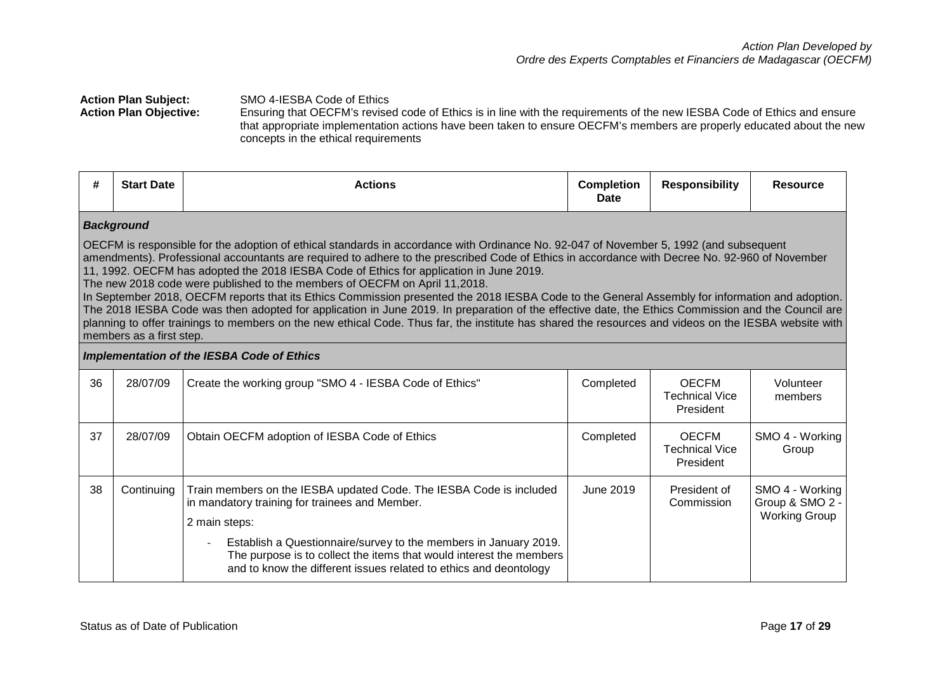#### Action Plan Subject: SMO 4-IESBA Code of Ethics<br>Action Plan Objective: Ensuring that OECFM's revise Ensuring that OECFM's revised code of Ethics is in line with the requirements of the new IESBA Code of Ethics and ensure that appropriate implementation actions have been taken to ensure OECFM's members are properly educated about the new

concepts in the ethical requirements

| #  | <b>Start Date</b>        | <b>Actions</b>                                                                                                                                                                                                                                                                                                                                                                                                                                                                                                                                                                                                                                                                                                                                                                                                                                                                                                                      | <b>Completion</b><br><b>Date</b> | <b>Responsibility</b>                              | <b>Resource</b>                                            |
|----|--------------------------|-------------------------------------------------------------------------------------------------------------------------------------------------------------------------------------------------------------------------------------------------------------------------------------------------------------------------------------------------------------------------------------------------------------------------------------------------------------------------------------------------------------------------------------------------------------------------------------------------------------------------------------------------------------------------------------------------------------------------------------------------------------------------------------------------------------------------------------------------------------------------------------------------------------------------------------|----------------------------------|----------------------------------------------------|------------------------------------------------------------|
|    | <b>Background</b>        |                                                                                                                                                                                                                                                                                                                                                                                                                                                                                                                                                                                                                                                                                                                                                                                                                                                                                                                                     |                                  |                                                    |                                                            |
|    | members as a first step. | OECFM is responsible for the adoption of ethical standards in accordance with Ordinance No. 92-047 of November 5, 1992 (and subsequent<br>amendments). Professional accountants are required to adhere to the prescribed Code of Ethics in accordance with Decree No. 92-960 of November<br>11, 1992. OECFM has adopted the 2018 IESBA Code of Ethics for application in June 2019.<br>The new 2018 code were published to the members of OECFM on April 11,2018.<br>In September 2018, OECFM reports that its Ethics Commission presented the 2018 IESBA Code to the General Assembly for information and adoption.<br>The 2018 IESBA Code was then adopted for application in June 2019. In preparation of the effective date, the Ethics Commission and the Council are<br>planning to offer trainings to members on the new ethical Code. Thus far, the institute has shared the resources and videos on the IESBA website with |                                  |                                                    |                                                            |
|    |                          | <b>Implementation of the IESBA Code of Ethics</b>                                                                                                                                                                                                                                                                                                                                                                                                                                                                                                                                                                                                                                                                                                                                                                                                                                                                                   |                                  |                                                    |                                                            |
| 36 | 28/07/09                 | Create the working group "SMO 4 - IESBA Code of Ethics"                                                                                                                                                                                                                                                                                                                                                                                                                                                                                                                                                                                                                                                                                                                                                                                                                                                                             | Completed                        | <b>OECFM</b><br><b>Technical Vice</b><br>President | Volunteer<br>members                                       |
| 37 | 28/07/09                 | Obtain OECFM adoption of IESBA Code of Ethics                                                                                                                                                                                                                                                                                                                                                                                                                                                                                                                                                                                                                                                                                                                                                                                                                                                                                       | Completed                        | <b>OECFM</b><br><b>Technical Vice</b><br>President | SMO 4 - Working<br>Group                                   |
| 38 | Continuing               | Train members on the IESBA updated Code. The IESBA Code is included<br>in mandatory training for trainees and Member.<br>2 main steps:<br>Establish a Questionnaire/survey to the members in January 2019.<br>The purpose is to collect the items that would interest the members<br>and to know the different issues related to ethics and deontology                                                                                                                                                                                                                                                                                                                                                                                                                                                                                                                                                                              | June 2019                        | President of<br>Commission                         | SMO 4 - Working<br>Group & SMO 2 -<br><b>Working Group</b> |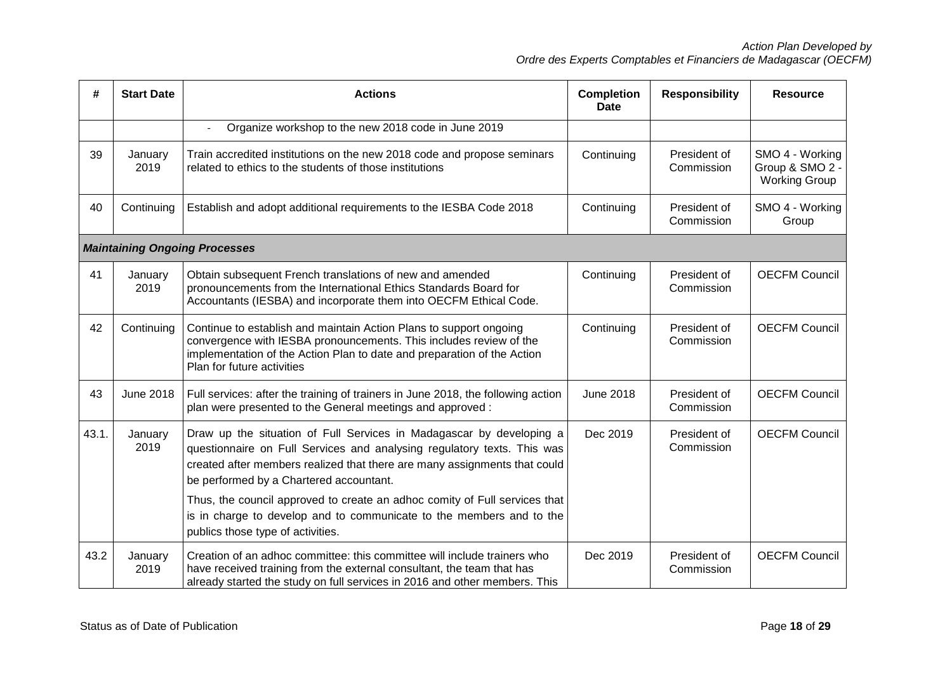| #     | <b>Start Date</b> | <b>Actions</b>                                                                                                                                                                                                                                                                                                                                                                                                                | <b>Completion</b><br><b>Date</b> | <b>Responsibility</b>      | <b>Resource</b>                                            |
|-------|-------------------|-------------------------------------------------------------------------------------------------------------------------------------------------------------------------------------------------------------------------------------------------------------------------------------------------------------------------------------------------------------------------------------------------------------------------------|----------------------------------|----------------------------|------------------------------------------------------------|
|       |                   | Organize workshop to the new 2018 code in June 2019                                                                                                                                                                                                                                                                                                                                                                           |                                  |                            |                                                            |
| 39    | January<br>2019   | Train accredited institutions on the new 2018 code and propose seminars<br>related to ethics to the students of those institutions                                                                                                                                                                                                                                                                                            | Continuing                       | President of<br>Commission | SMO 4 - Working<br>Group & SMO 2 -<br><b>Working Group</b> |
| 40    | Continuing        | Establish and adopt additional requirements to the IESBA Code 2018                                                                                                                                                                                                                                                                                                                                                            | Continuing                       | President of<br>Commission | SMO 4 - Working<br>Group                                   |
|       |                   | <b>Maintaining Ongoing Processes</b>                                                                                                                                                                                                                                                                                                                                                                                          |                                  |                            |                                                            |
| 41    | January<br>2019   | Obtain subsequent French translations of new and amended<br>pronouncements from the International Ethics Standards Board for<br>Accountants (IESBA) and incorporate them into OECFM Ethical Code.                                                                                                                                                                                                                             | Continuing                       | President of<br>Commission | <b>OECFM Council</b>                                       |
| 42    | Continuing        | Continue to establish and maintain Action Plans to support ongoing<br>convergence with IESBA pronouncements. This includes review of the<br>implementation of the Action Plan to date and preparation of the Action<br>Plan for future activities                                                                                                                                                                             | Continuing                       | President of<br>Commission | <b>OECFM Council</b>                                       |
| 43    | <b>June 2018</b>  | Full services: after the training of trainers in June 2018, the following action<br>plan were presented to the General meetings and approved :                                                                                                                                                                                                                                                                                | <b>June 2018</b>                 | President of<br>Commission | <b>OECFM Council</b>                                       |
| 43.1. | January<br>2019   | Draw up the situation of Full Services in Madagascar by developing a<br>questionnaire on Full Services and analysing regulatory texts. This was<br>created after members realized that there are many assignments that could<br>be performed by a Chartered accountant.<br>Thus, the council approved to create an adhoc comity of Full services that<br>is in charge to develop and to communicate to the members and to the | Dec 2019                         | President of<br>Commission | <b>OECFM Council</b>                                       |
|       |                   | publics those type of activities.                                                                                                                                                                                                                                                                                                                                                                                             |                                  |                            |                                                            |
| 43.2  | January<br>2019   | Creation of an adhoc committee: this committee will include trainers who<br>have received training from the external consultant, the team that has<br>already started the study on full services in 2016 and other members. This                                                                                                                                                                                              | Dec 2019                         | President of<br>Commission | <b>OECFM Council</b>                                       |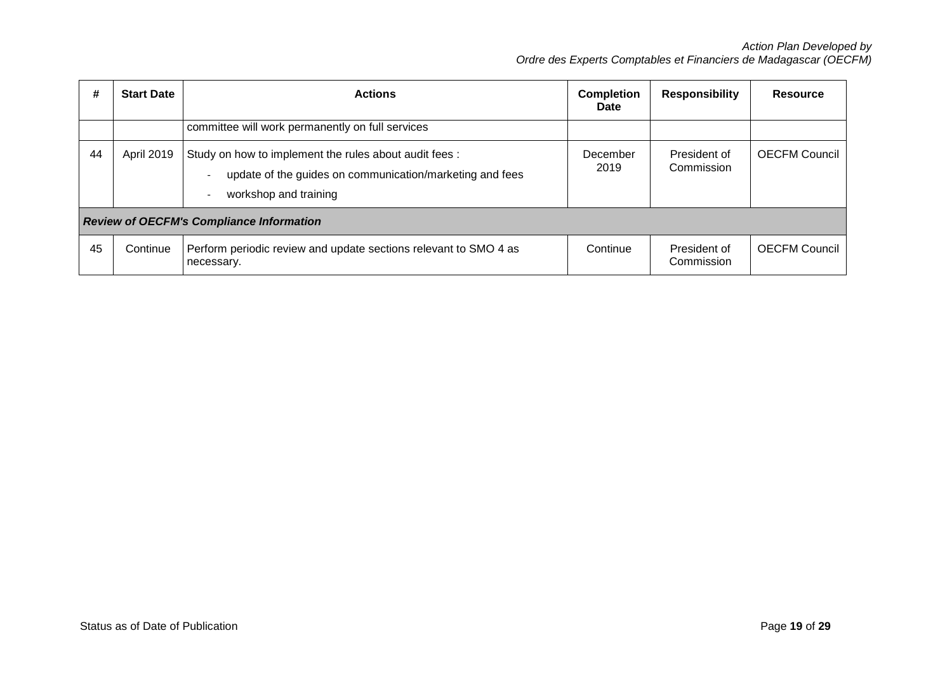| #  | <b>Start Date</b> | <b>Actions</b>                                                                                                                                   | <b>Completion</b><br>Date | <b>Responsibility</b>      | <b>Resource</b>      |
|----|-------------------|--------------------------------------------------------------------------------------------------------------------------------------------------|---------------------------|----------------------------|----------------------|
|    |                   | committee will work permanently on full services                                                                                                 |                           |                            |                      |
| 44 | <b>April 2019</b> | Study on how to implement the rules about audit fees :<br>update of the guides on communication/marketing and fees<br>workshop and training<br>- | December<br>2019          | President of<br>Commission | <b>OECFM Council</b> |
|    |                   | <b>Review of OECFM's Compliance Information</b>                                                                                                  |                           |                            |                      |
| 45 | Continue          | Perform periodic review and update sections relevant to SMO 4 as<br>necessary.                                                                   | Continue                  | President of<br>Commission | <b>OECFM Council</b> |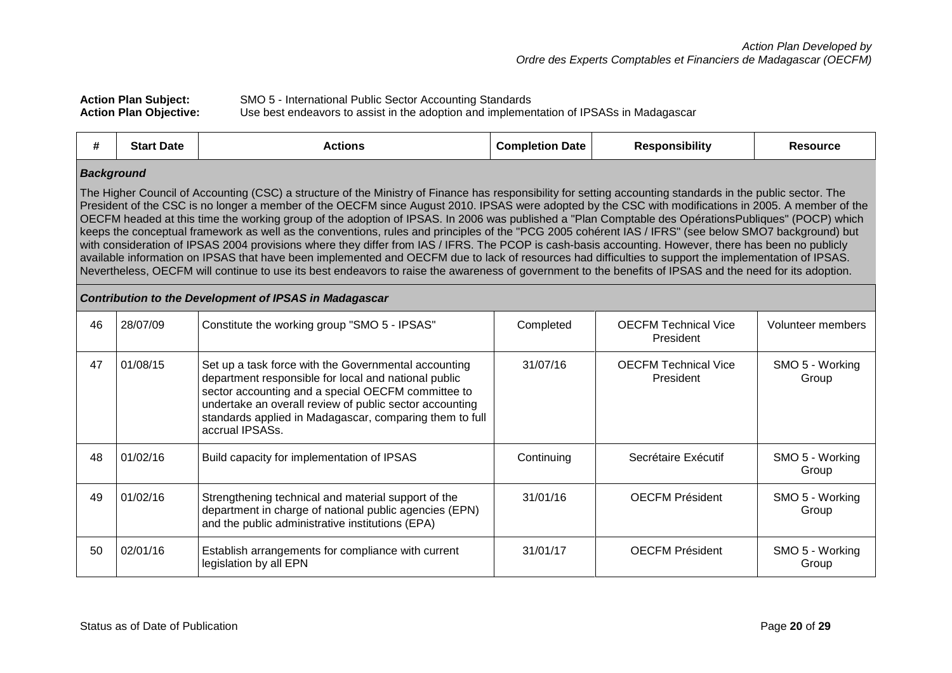| <b>Action Plan Subject:</b>   | SMO 5 - International Public Sector Accounting Standards                                |
|-------------------------------|-----------------------------------------------------------------------------------------|
| <b>Action Plan Objective:</b> | Use best endeavors to assist in the adoption and implementation of IPSASs in Madagascar |

| #                 | <b>Start Date</b> | <b>Actions</b>                                                                                                                                                                                                                                                                                                                                                                                                                                                                                                                                                                                                                                                                                                                                                                                                                                                                                                                                                                                                                                                                                                    | <b>Completion Date</b> | <b>Responsibility</b>                    | <b>Resource</b>          |
|-------------------|-------------------|-------------------------------------------------------------------------------------------------------------------------------------------------------------------------------------------------------------------------------------------------------------------------------------------------------------------------------------------------------------------------------------------------------------------------------------------------------------------------------------------------------------------------------------------------------------------------------------------------------------------------------------------------------------------------------------------------------------------------------------------------------------------------------------------------------------------------------------------------------------------------------------------------------------------------------------------------------------------------------------------------------------------------------------------------------------------------------------------------------------------|------------------------|------------------------------------------|--------------------------|
| <b>Background</b> |                   | The Higher Council of Accounting (CSC) a structure of the Ministry of Finance has responsibility for setting accounting standards in the public sector. The<br>President of the CSC is no longer a member of the OECFM since August 2010. IPSAS were adopted by the CSC with modifications in 2005. A member of the<br>OECFM headed at this time the working group of the adoption of IPSAS. In 2006 was published a "Plan Comptable des OpérationsPubliques" (POCP) which<br>keeps the conceptual framework as well as the conventions, rules and principles of the "PCG 2005 cohérent IAS / IFRS" (see below SMO7 background) but<br>with consideration of IPSAS 2004 provisions where they differ from IAS / IFRS. The PCOP is cash-basis accounting. However, there has been no publicly<br>available information on IPSAS that have been implemented and OECFM due to lack of resources had difficulties to support the implementation of IPSAS.<br>Nevertheless, OECFM will continue to use its best endeavors to raise the awareness of government to the benefits of IPSAS and the need for its adoption. |                        |                                          |                          |
|                   |                   | <b>Contribution to the Development of IPSAS in Madagascar</b>                                                                                                                                                                                                                                                                                                                                                                                                                                                                                                                                                                                                                                                                                                                                                                                                                                                                                                                                                                                                                                                     |                        |                                          |                          |
| 46                | 28/07/09          | Constitute the working group "SMO 5 - IPSAS"                                                                                                                                                                                                                                                                                                                                                                                                                                                                                                                                                                                                                                                                                                                                                                                                                                                                                                                                                                                                                                                                      | Completed              | <b>OECFM Technical Vice</b><br>President | Volunteer members        |
| 47                | 01/08/15          | Set up a task force with the Governmental accounting<br>department responsible for local and national public<br>sector accounting and a special OECFM committee to<br>undertake an overall review of public sector accounting<br>standards applied in Madagascar, comparing them to full<br>accrual IPSASs.                                                                                                                                                                                                                                                                                                                                                                                                                                                                                                                                                                                                                                                                                                                                                                                                       | 31/07/16               | <b>OECFM Technical Vice</b><br>President | SMO 5 - Working<br>Group |
| 48                | 01/02/16          | Build capacity for implementation of IPSAS                                                                                                                                                                                                                                                                                                                                                                                                                                                                                                                                                                                                                                                                                                                                                                                                                                                                                                                                                                                                                                                                        | Continuing             | Secrétaire Exécutif                      | SMO 5 - Working<br>Group |
| 49                | 01/02/16          | Strengthening technical and material support of the<br>department in charge of national public agencies (EPN)<br>and the public administrative institutions (EPA)                                                                                                                                                                                                                                                                                                                                                                                                                                                                                                                                                                                                                                                                                                                                                                                                                                                                                                                                                 | 31/01/16               | <b>OECFM Président</b>                   | SMO 5 - Working<br>Group |
| 50                | 02/01/16          | Establish arrangements for compliance with current<br>legislation by all EPN                                                                                                                                                                                                                                                                                                                                                                                                                                                                                                                                                                                                                                                                                                                                                                                                                                                                                                                                                                                                                                      | 31/01/17               | <b>OECFM Président</b>                   | SMO 5 - Working<br>Group |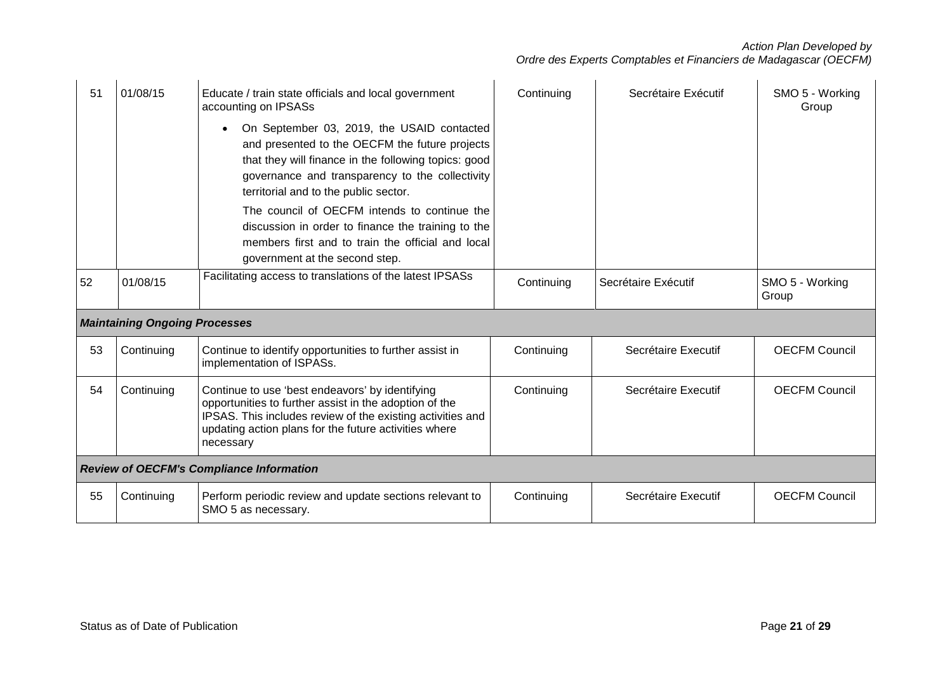| 51 | 01/08/15                             | Educate / train state officials and local government<br>accounting on IPSASs<br>On September 03, 2019, the USAID contacted<br>and presented to the OECFM the future projects<br>that they will finance in the following topics: good<br>governance and transparency to the collectivity<br>territorial and to the public sector.<br>The council of OECFM intends to continue the<br>discussion in order to finance the training to the<br>members first and to train the official and local<br>government at the second step. | Continuing | Secrétaire Exécutif | SMO 5 - Working<br>Group |
|----|--------------------------------------|-------------------------------------------------------------------------------------------------------------------------------------------------------------------------------------------------------------------------------------------------------------------------------------------------------------------------------------------------------------------------------------------------------------------------------------------------------------------------------------------------------------------------------|------------|---------------------|--------------------------|
| 52 | 01/08/15                             | Facilitating access to translations of the latest IPSASs                                                                                                                                                                                                                                                                                                                                                                                                                                                                      | Continuing | Secrétaire Exécutif | SMO 5 - Working<br>Group |
|    | <b>Maintaining Ongoing Processes</b> |                                                                                                                                                                                                                                                                                                                                                                                                                                                                                                                               |            |                     |                          |
| 53 | Continuing                           | Continue to identify opportunities to further assist in<br>implementation of ISPASs.                                                                                                                                                                                                                                                                                                                                                                                                                                          | Continuing | Secrétaire Executif | <b>OECFM Council</b>     |
| 54 | Continuing                           | Continue to use 'best endeavors' by identifying<br>opportunities to further assist in the adoption of the<br>IPSAS. This includes review of the existing activities and<br>updating action plans for the future activities where<br>necessary                                                                                                                                                                                                                                                                                 | Continuing | Secrétaire Executif | <b>OECFM Council</b>     |
|    |                                      | <b>Review of OECFM's Compliance Information</b>                                                                                                                                                                                                                                                                                                                                                                                                                                                                               |            |                     |                          |
| 55 | Continuing                           | Perform periodic review and update sections relevant to<br>SMO 5 as necessary.                                                                                                                                                                                                                                                                                                                                                                                                                                                | Continuing | Secrétaire Executif | <b>OECFM Council</b>     |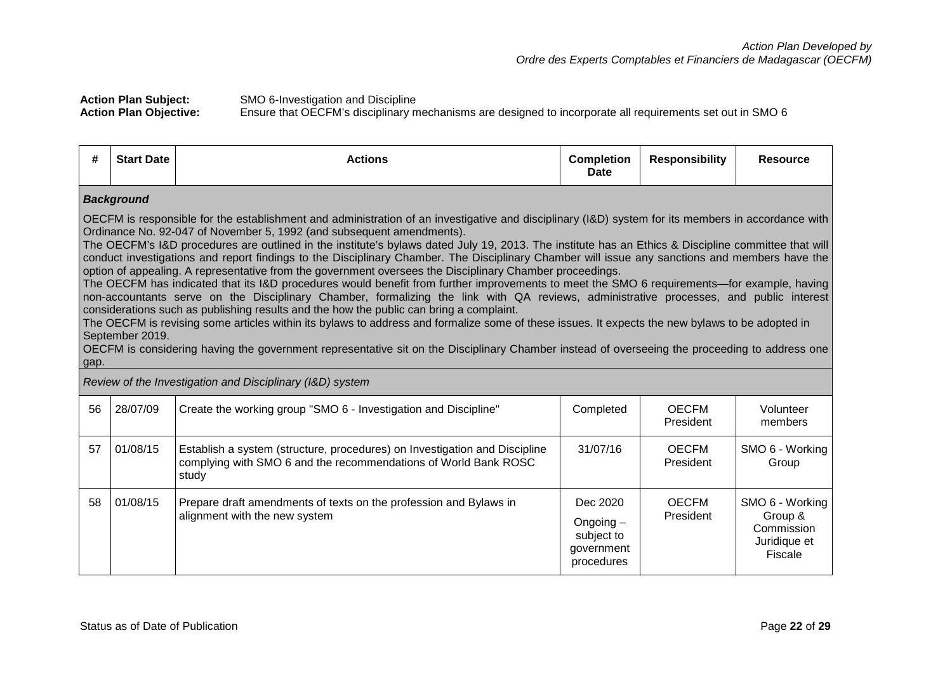**Action Plan Subject:** SMO 6-Investigation and Discipline<br>**Action Plan Objective:** Ensure that OECFM's disciplinary n **Action Plan Objective:** Ensure that OECFM's disciplinary mechanisms are designed to incorporate all requirements set out in SMO 6

| <b>Responsibility</b><br>-44<br><b>Completion</b><br><b>Start Date</b><br>Actions<br><b>Resource</b><br>П.<br><b>Date</b> |
|---------------------------------------------------------------------------------------------------------------------------|
|---------------------------------------------------------------------------------------------------------------------------|

### *Background*

OECFM is responsible for the establishment and administration of an investigative and disciplinary (I&D) system for its members in accordance with Ordinance No. 92-047 of November 5, 1992 (and subsequent amendments).

The OECFM's I&D procedures are outlined in the institute's bylaws dated July 19, 2013. The institute has an Ethics & Discipline committee that will conduct investigations and report findings to the Disciplinary Chamber. The Disciplinary Chamber will issue any sanctions and members have the option of appealing. A representative from the government oversees the Disciplinary Chamber proceedings.

The OECFM has indicated that its I&D procedures would benefit from further improvements to meet the SMO 6 requirements—for example, having non-accountants serve on the Disciplinary Chamber, formalizing the link with QA reviews, administrative processes, and public interest considerations such as publishing results and the how the public can bring a complaint.

The OECFM is revising some articles within its bylaws to address and formalize some of these issues. It expects the new bylaws to be adopted in September 2019.

OECFM is considering having the government representative sit on the Disciplinary Chamber instead of overseeing the proceeding to address one gap.

*Review of the Investigation and Disciplinary (I&D) system*

| 56 | 28/07/09 | Create the working group "SMO 6 - Investigation and Discipline"                                                                                        | Completed                                                         | <b>OECFM</b><br>President | Volunteer<br>members                                                |
|----|----------|--------------------------------------------------------------------------------------------------------------------------------------------------------|-------------------------------------------------------------------|---------------------------|---------------------------------------------------------------------|
| 57 | 01/08/15 | Establish a system (structure, procedures) on Investigation and Discipline<br>complying with SMO 6 and the recommendations of World Bank ROSC<br>study | 31/07/16                                                          | <b>OECFM</b><br>President | SMO 6 - Working<br>Group                                            |
| 58 | 01/08/15 | Prepare draft amendments of texts on the profession and Bylaws in<br>alignment with the new system                                                     | Dec 2020<br>Ongoing $-$<br>subject to<br>government<br>procedures | <b>OECFM</b><br>President | SMO 6 - Working<br>Group &<br>Commission<br>Juridique et<br>Fiscale |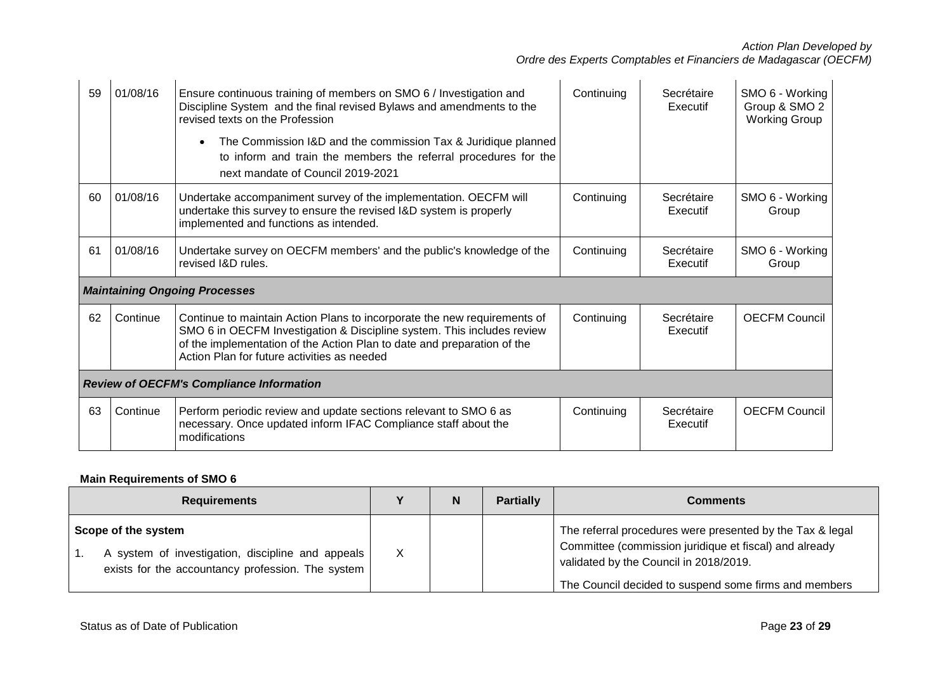| 59 | 01/08/16                                        | Ensure continuous training of members on SMO 6 / Investigation and<br>Discipline System and the final revised Bylaws and amendments to the<br>revised texts on the Profession<br>The Commission I&D and the commission Tax & Juridique planned<br>to inform and train the members the referral procedures for the<br>next mandate of Council 2019-2021 | Continuing | Secrétaire<br>Executif | SMO 6 - Working<br>Group & SMO 2<br><b>Working Group</b> |  |
|----|-------------------------------------------------|--------------------------------------------------------------------------------------------------------------------------------------------------------------------------------------------------------------------------------------------------------------------------------------------------------------------------------------------------------|------------|------------------------|----------------------------------------------------------|--|
| 60 | 01/08/16                                        | Undertake accompaniment survey of the implementation. OECFM will<br>undertake this survey to ensure the revised I&D system is properly<br>implemented and functions as intended.                                                                                                                                                                       | Continuing | Secrétaire<br>Executif | SMO 6 - Working<br>Group                                 |  |
| 61 | 01/08/16                                        | Undertake survey on OECFM members' and the public's knowledge of the<br>revised I&D rules.                                                                                                                                                                                                                                                             | Continuing | Secrétaire<br>Executif | SMO 6 - Working<br>Group                                 |  |
|    |                                                 | <b>Maintaining Ongoing Processes</b>                                                                                                                                                                                                                                                                                                                   |            |                        |                                                          |  |
| 62 | Continue                                        | Continue to maintain Action Plans to incorporate the new requirements of<br>SMO 6 in OECFM Investigation & Discipline system. This includes review<br>of the implementation of the Action Plan to date and preparation of the<br>Action Plan for future activities as needed                                                                           | Continuing | Secrétaire<br>Executif | <b>OECEM Council</b>                                     |  |
|    | <b>Review of OECFM's Compliance Information</b> |                                                                                                                                                                                                                                                                                                                                                        |            |                        |                                                          |  |
| 63 | Continue                                        | Perform periodic review and update sections relevant to SMO 6 as<br>necessary. Once updated inform IFAC Compliance staff about the<br>modifications                                                                                                                                                                                                    | Continuing | Secrétaire<br>Executif | <b>OECFM Council</b>                                     |  |

## **Main Requirements of SMO 6**

| <b>Requirements</b>                                                                                                           |   | <b>Partially</b> | <b>Comments</b>                                                                                                                                                                                                        |
|-------------------------------------------------------------------------------------------------------------------------------|---|------------------|------------------------------------------------------------------------------------------------------------------------------------------------------------------------------------------------------------------------|
| Scope of the system<br>A system of investigation, discipline and appeals<br>exists for the accountancy profession. The system | X |                  | The referral procedures were presented by the Tax & legal<br>Committee (commission juridique et fiscal) and already<br>validated by the Council in 2018/2019.<br>The Council decided to suspend some firms and members |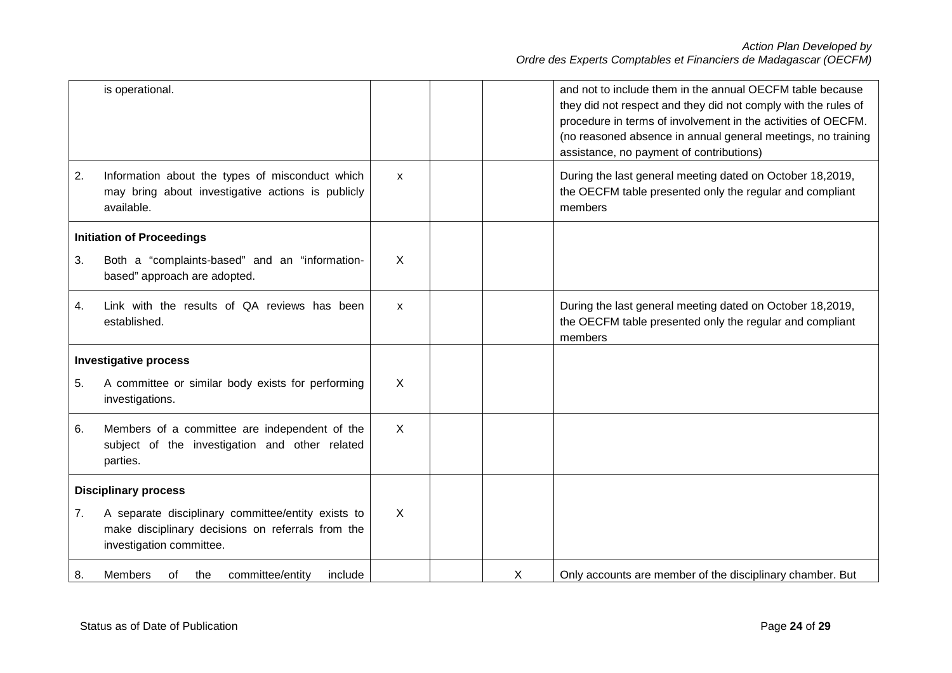|    | is operational.                                                                                                                     |                           |   | and not to include them in the annual OECFM table because<br>they did not respect and they did not comply with the rules of<br>procedure in terms of involvement in the activities of OECFM.<br>(no reasoned absence in annual general meetings, no training<br>assistance, no payment of contributions) |
|----|-------------------------------------------------------------------------------------------------------------------------------------|---------------------------|---|----------------------------------------------------------------------------------------------------------------------------------------------------------------------------------------------------------------------------------------------------------------------------------------------------------|
| 2. | Information about the types of misconduct which<br>may bring about investigative actions is publicly<br>available.                  | $\mathsf{x}$              |   | During the last general meeting dated on October 18,2019,<br>the OECFM table presented only the regular and compliant<br>members                                                                                                                                                                         |
|    | <b>Initiation of Proceedings</b>                                                                                                    |                           |   |                                                                                                                                                                                                                                                                                                          |
| 3. | Both a "complaints-based" and an "information-<br>based" approach are adopted.                                                      | X                         |   |                                                                                                                                                                                                                                                                                                          |
| 4. | Link with the results of QA reviews has been<br>established.                                                                        | $\mathsf{x}$              |   | During the last general meeting dated on October 18,2019,<br>the OECFM table presented only the regular and compliant<br>members                                                                                                                                                                         |
|    | <b>Investigative process</b>                                                                                                        |                           |   |                                                                                                                                                                                                                                                                                                          |
| 5. | A committee or similar body exists for performing<br>investigations.                                                                | $\sf X$                   |   |                                                                                                                                                                                                                                                                                                          |
| 6. | Members of a committee are independent of the<br>subject of the investigation and other related<br>parties.                         | $\boldsymbol{\mathsf{X}}$ |   |                                                                                                                                                                                                                                                                                                          |
|    | <b>Disciplinary process</b>                                                                                                         |                           |   |                                                                                                                                                                                                                                                                                                          |
| 7. | A separate disciplinary committee/entity exists to<br>make disciplinary decisions on referrals from the<br>investigation committee. | X                         |   |                                                                                                                                                                                                                                                                                                          |
| 8. | <b>Members</b><br>committee/entity<br>include<br>the<br>οf                                                                          |                           | X | Only accounts are member of the disciplinary chamber. But                                                                                                                                                                                                                                                |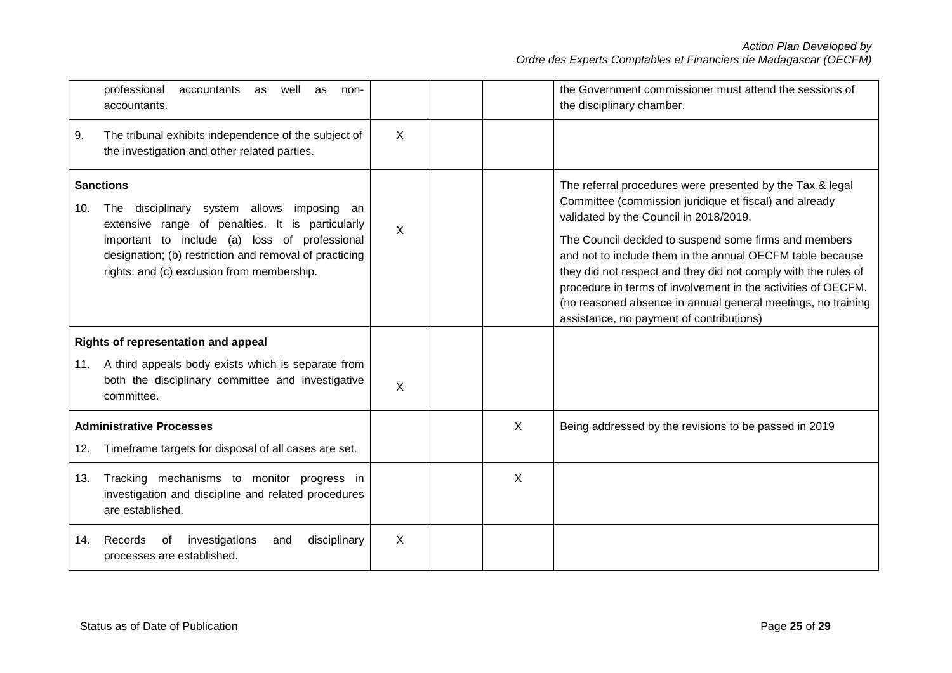|                                                                                                                                                                                                                                                                                    | professional<br>accountants<br>well<br>as<br>as<br>non-<br>accountants.                                               |          |   | the Government commissioner must attend the sessions of<br>the disciplinary chamber.                                                                                                                                                                                                                                                                                                                                                                                                                                               |
|------------------------------------------------------------------------------------------------------------------------------------------------------------------------------------------------------------------------------------------------------------------------------------|-----------------------------------------------------------------------------------------------------------------------|----------|---|------------------------------------------------------------------------------------------------------------------------------------------------------------------------------------------------------------------------------------------------------------------------------------------------------------------------------------------------------------------------------------------------------------------------------------------------------------------------------------------------------------------------------------|
| 9.                                                                                                                                                                                                                                                                                 | The tribunal exhibits independence of the subject of<br>the investigation and other related parties.                  | X        |   |                                                                                                                                                                                                                                                                                                                                                                                                                                                                                                                                    |
| <b>Sanctions</b><br>The disciplinary system allows imposing an<br>10.<br>extensive range of penalties. It is particularly<br>important to include (a) loss of professional<br>designation; (b) restriction and removal of practicing<br>rights; and (c) exclusion from membership. |                                                                                                                       | $\times$ |   | The referral procedures were presented by the Tax & legal<br>Committee (commission juridique et fiscal) and already<br>validated by the Council in 2018/2019.<br>The Council decided to suspend some firms and members<br>and not to include them in the annual OECFM table because<br>they did not respect and they did not comply with the rules of<br>procedure in terms of involvement in the activities of OECFM.<br>(no reasoned absence in annual general meetings, no training<br>assistance, no payment of contributions) |
|                                                                                                                                                                                                                                                                                    | Rights of representation and appeal                                                                                   |          |   |                                                                                                                                                                                                                                                                                                                                                                                                                                                                                                                                    |
| 11.                                                                                                                                                                                                                                                                                | A third appeals body exists which is separate from<br>both the disciplinary committee and investigative<br>committee. | X        |   |                                                                                                                                                                                                                                                                                                                                                                                                                                                                                                                                    |
|                                                                                                                                                                                                                                                                                    | <b>Administrative Processes</b>                                                                                       |          | X | Being addressed by the revisions to be passed in 2019                                                                                                                                                                                                                                                                                                                                                                                                                                                                              |
| 12.                                                                                                                                                                                                                                                                                | Timeframe targets for disposal of all cases are set.                                                                  |          |   |                                                                                                                                                                                                                                                                                                                                                                                                                                                                                                                                    |
| 13.                                                                                                                                                                                                                                                                                | Tracking mechanisms to monitor progress in<br>investigation and discipline and related procedures<br>are established. |          | X |                                                                                                                                                                                                                                                                                                                                                                                                                                                                                                                                    |
| 14.                                                                                                                                                                                                                                                                                | investigations<br>disciplinary<br>Records<br>of<br>and<br>processes are established.                                  | X        |   |                                                                                                                                                                                                                                                                                                                                                                                                                                                                                                                                    |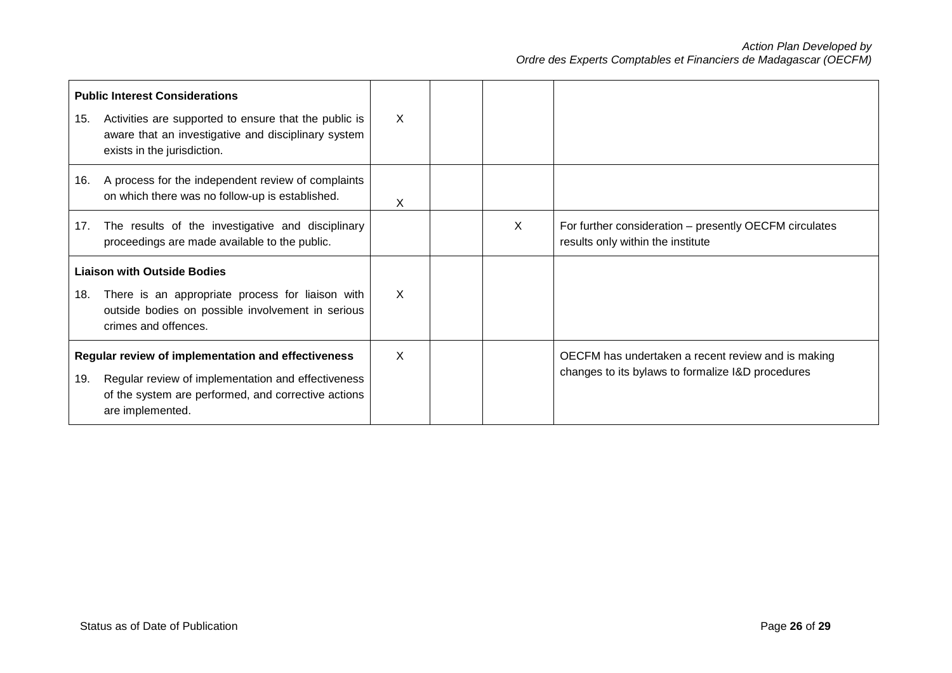| <b>Public Interest Considerations</b><br>Activities are supported to ensure that the public is<br>15.<br>aware that an investigative and disciplinary system<br>exists in the jurisdiction. |                                                                                                       | X            |   |                                                                                                         |
|---------------------------------------------------------------------------------------------------------------------------------------------------------------------------------------------|-------------------------------------------------------------------------------------------------------|--------------|---|---------------------------------------------------------------------------------------------------------|
| 16.                                                                                                                                                                                         | A process for the independent review of complaints<br>on which there was no follow-up is established. | X            |   |                                                                                                         |
| 17.                                                                                                                                                                                         | The results of the investigative and disciplinary<br>proceedings are made available to the public.    |              | X | For further consideration - presently OECFM circulates<br>results only within the institute             |
| <b>Liaison with Outside Bodies</b><br>There is an appropriate process for liaison with<br>18.<br>outside bodies on possible involvement in serious<br>crimes and offences.                  |                                                                                                       | $\mathsf{x}$ |   |                                                                                                         |
| Regular review of implementation and effectiveness<br>Regular review of implementation and effectiveness<br>19.<br>of the system are performed, and corrective actions<br>are implemented.  |                                                                                                       | X            |   | OECFM has undertaken a recent review and is making<br>changes to its bylaws to formalize I&D procedures |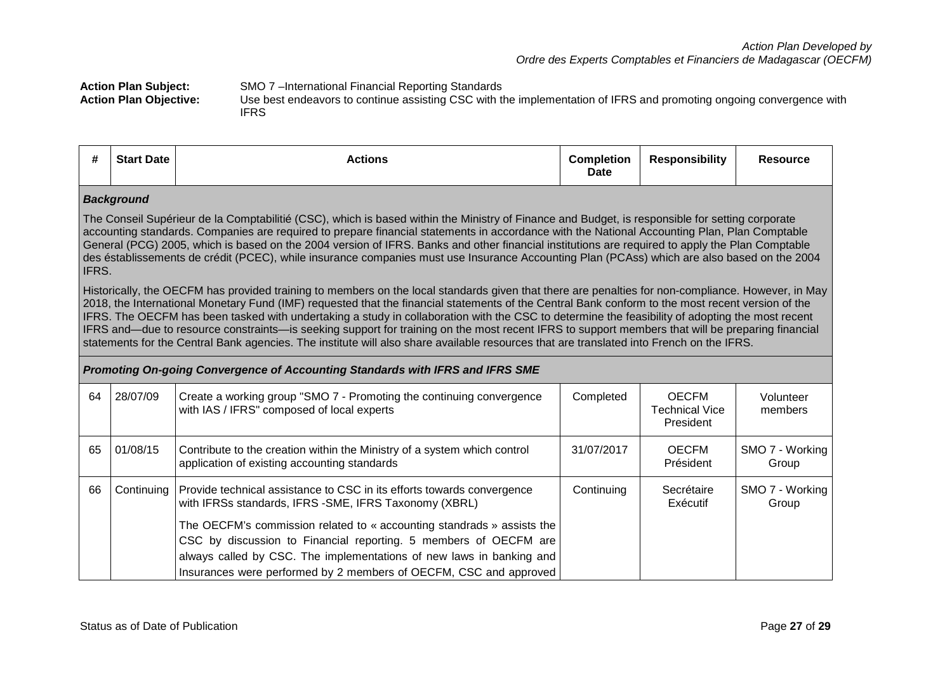**Action Plan Subject:** SMO 7 –International Financial Reporting Standards<br>**Action Plan Objective:** Use best endeavors to continue assisting CSC with the

**Action Plan Objective:** Use best endeavors to continue assisting CSC with the implementation of IFRS and promoting ongoing convergence with IFRS

|  | #<br>- 77 | <b>Start Date</b> | Actions | <b>Completion</b><br><b>Date</b> | <b>Responsibility</b> | <b>Resource</b> |
|--|-----------|-------------------|---------|----------------------------------|-----------------------|-----------------|
|--|-----------|-------------------|---------|----------------------------------|-----------------------|-----------------|

## *Background*

The Conseil Supérieur de la Comptabilitié (CSC), which is based within the Ministry of Finance and Budget, is responsible for setting corporate accounting standards. Companies are required to prepare financial statements in accordance with the National Accounting Plan, Plan Comptable General (PCG) 2005, which is based on the 2004 version of IFRS. Banks and other financial institutions are required to apply the Plan Comptable des éstablissements de crédit (PCEC), while insurance companies must use Insurance Accounting Plan (PCAss) which are also based on the 2004 IFRS.

Historically, the OECFM has provided training to members on the local standards given that there are penalties for non-compliance. However, in May 2018, the International Monetary Fund (IMF) requested that the financial statements of the Central Bank conform to the most recent version of the IFRS. The OECFM has been tasked with undertaking a study in collaboration with the CSC to determine the feasibility of adopting the most recent IFRS and—due to resource constraints—is seeking support for training on the most recent IFRS to support members that will be preparing financial statements for the Central Bank agencies. The institute will also share available resources that are translated into French on the IFRS.

|    | Promoting On-going Convergence of Accounting Standards with IFRS and IFRS SME |                                                                                                                                                                                                                                                                                                                                                                                                                             |            |                                                    |                          |  |  |  |
|----|-------------------------------------------------------------------------------|-----------------------------------------------------------------------------------------------------------------------------------------------------------------------------------------------------------------------------------------------------------------------------------------------------------------------------------------------------------------------------------------------------------------------------|------------|----------------------------------------------------|--------------------------|--|--|--|
| 64 | 28/07/09                                                                      | Create a working group "SMO 7 - Promoting the continuing convergence<br>with IAS / IFRS" composed of local experts                                                                                                                                                                                                                                                                                                          | Completed  | <b>OECFM</b><br><b>Technical Vice</b><br>President | Volunteer<br>members     |  |  |  |
| 65 | 01/08/15                                                                      | Contribute to the creation within the Ministry of a system which control<br>application of existing accounting standards                                                                                                                                                                                                                                                                                                    | 31/07/2017 | <b>OECFM</b><br>Président                          | SMO 7 - Working<br>Group |  |  |  |
| 66 | Continuina                                                                    | Provide technical assistance to CSC in its efforts towards convergence<br>with IFRSs standards, IFRS - SME, IFRS Taxonomy (XBRL)<br>The OECFM's commission related to « accounting standrads » assists the<br>CSC by discussion to Financial reporting. 5 members of OECFM are<br>always called by CSC. The implementations of new laws in banking and<br>Insurances were performed by 2 members of OECFM, CSC and approved | Continuing | Secrétaire<br>Exécutif                             | SMO 7 - Working<br>Group |  |  |  |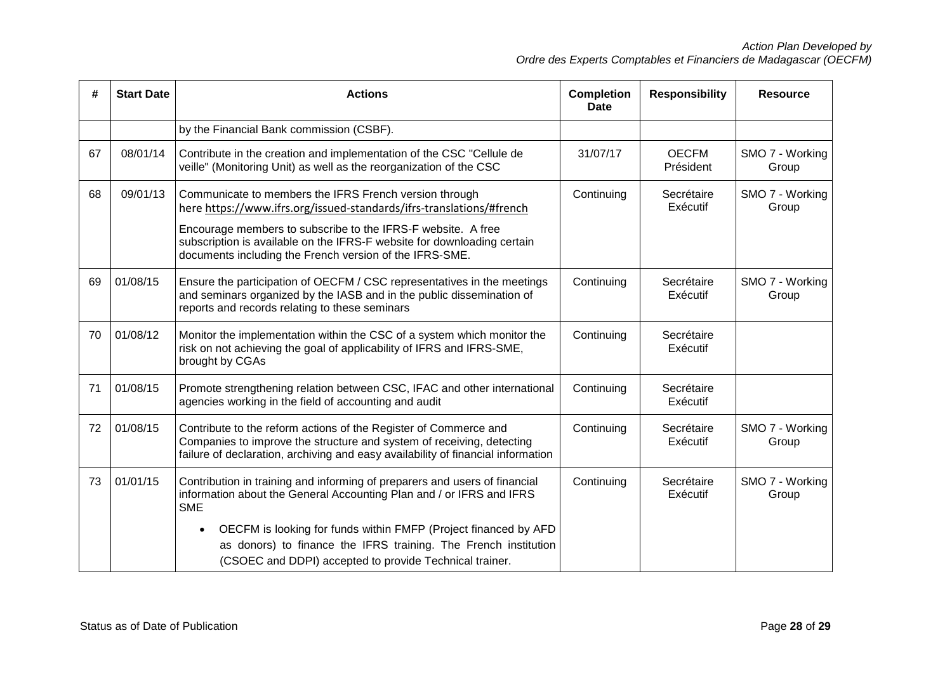| #  | <b>Start Date</b> | <b>Actions</b>                                                                                                                                                                                                                                                                                                                       | <b>Completion</b><br><b>Date</b> | <b>Responsibility</b>     | <b>Resource</b>          |
|----|-------------------|--------------------------------------------------------------------------------------------------------------------------------------------------------------------------------------------------------------------------------------------------------------------------------------------------------------------------------------|----------------------------------|---------------------------|--------------------------|
|    |                   | by the Financial Bank commission (CSBF).                                                                                                                                                                                                                                                                                             |                                  |                           |                          |
| 67 | 08/01/14          | Contribute in the creation and implementation of the CSC "Cellule de<br>veille" (Monitoring Unit) as well as the reorganization of the CSC                                                                                                                                                                                           | 31/07/17                         | <b>OECFM</b><br>Président | SMO 7 - Working<br>Group |
| 68 | 09/01/13          | Communicate to members the IFRS French version through<br>here https://www.ifrs.org/issued-standards/ifrs-translations/#french<br>Encourage members to subscribe to the IFRS-F website. A free<br>subscription is available on the IFRS-F website for downloading certain<br>documents including the French version of the IFRS-SME. | Continuing                       | Secrétaire<br>Exécutif    | SMO 7 - Working<br>Group |
| 69 | 01/08/15          | Ensure the participation of OECFM / CSC representatives in the meetings<br>and seminars organized by the IASB and in the public dissemination of<br>reports and records relating to these seminars                                                                                                                                   | Continuing                       | Secrétaire<br>Exécutif    | SMO 7 - Working<br>Group |
| 70 | 01/08/12          | Monitor the implementation within the CSC of a system which monitor the<br>risk on not achieving the goal of applicability of IFRS and IFRS-SME,<br>brought by CGAs                                                                                                                                                                  | Continuing                       | Secrétaire<br>Exécutif    |                          |
| 71 | 01/08/15          | Promote strengthening relation between CSC, IFAC and other international<br>agencies working in the field of accounting and audit                                                                                                                                                                                                    | Continuing                       | Secrétaire<br>Exécutif    |                          |
| 72 | 01/08/15          | Contribute to the reform actions of the Register of Commerce and<br>Companies to improve the structure and system of receiving, detecting<br>failure of declaration, archiving and easy availability of financial information                                                                                                        | Continuing                       | Secrétaire<br>Exécutif    | SMO 7 - Working<br>Group |
| 73 | 01/01/15          | Contribution in training and informing of preparers and users of financial<br>information about the General Accounting Plan and / or IFRS and IFRS<br><b>SME</b>                                                                                                                                                                     | Continuing                       | Secrétaire<br>Exécutif    | SMO 7 - Working<br>Group |
|    |                   | OECFM is looking for funds within FMFP (Project financed by AFD<br>as donors) to finance the IFRS training. The French institution<br>(CSOEC and DDPI) accepted to provide Technical trainer.                                                                                                                                        |                                  |                           |                          |